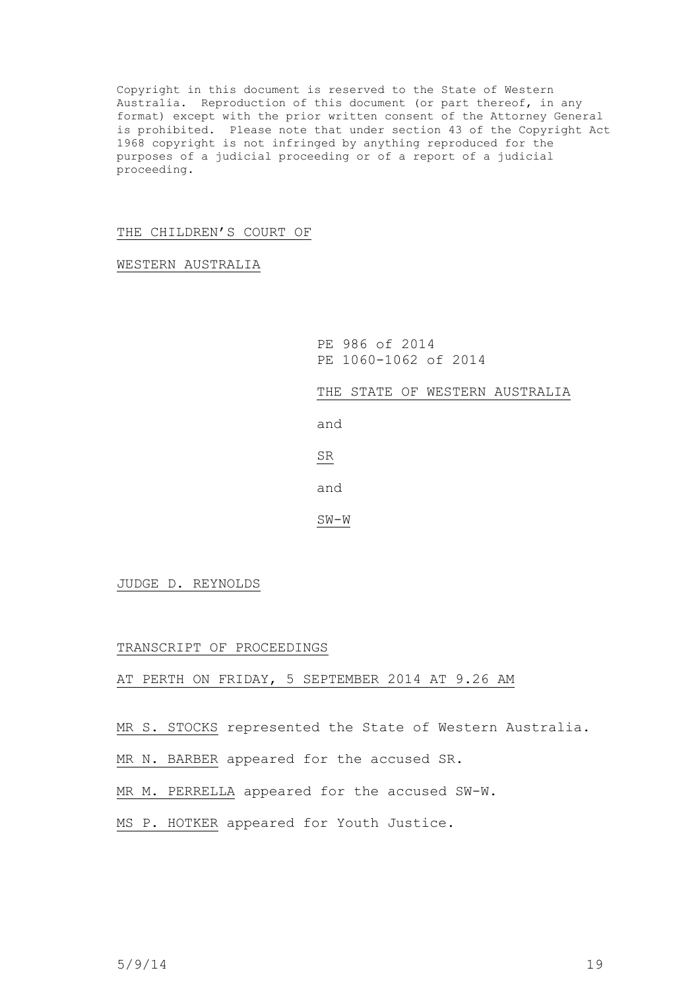Copyright in this document is reserved to the State of Western Australia. Reproduction of this document (or part thereof, in any format) except with the prior written consent of the Attorney General is prohibited. Please note that under section 43 of the Copyright Act 1968 copyright is not infringed by anything reproduced for the purposes of a judicial proceeding or of a report of a judicial proceeding.

## THE CHILDREN'S COURT OF

WESTERN AUSTRALIA

PE 986 of 2014 PE 1060-1062 of 2014

THE STATE OF WESTERN AUSTRALIA

and

SR

and

SW-W

JUDGE D. REYNOLDS

TRANSCRIPT OF PROCEEDINGS

AT PERTH ON FRIDAY, 5 SEPTEMBER 2014 AT 9.26 AM

MR S. STOCKS represented the State of Western Australia.

MR N. BARBER appeared for the accused SR.

MR M. PERRELLA appeared for the accused SW-W.

MS P. HOTKER appeared for Youth Justice.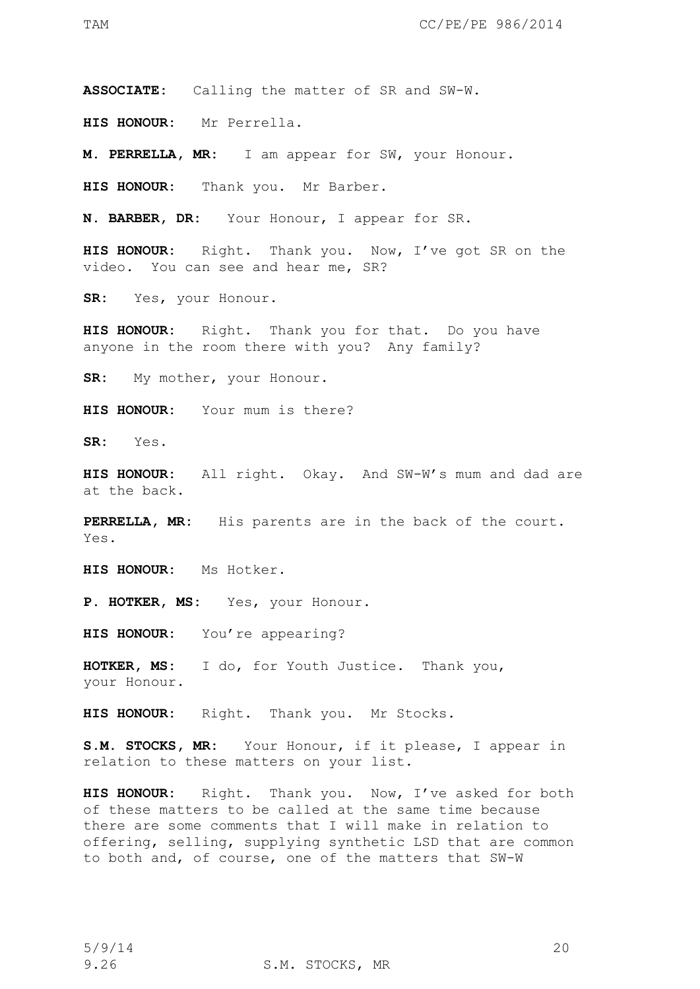**ASSOCIATE:** Calling the matter of SR and SW-W.

**HIS HONOUR:** Mr Perrella.

**M. PERRELLA, MR:** I am appear for SW, your Honour.

**HIS HONOUR:** Thank you. Mr Barber.

**N. BARBER, DR:** Your Honour, I appear for SR.

**HIS HONOUR:** Right. Thank you. Now, I've got SR on the video. You can see and hear me, SR?

**SR:** Yes, your Honour.

**HIS HONOUR:** Right. Thank you for that. Do you have anyone in the room there with you? Any family?

**SR:** My mother, your Honour.

**HIS HONOUR:** Your mum is there?

**SR:** Yes.

**HIS HONOUR:** All right. Okay. And SW-W's mum and dad are at the back.

**PERRELLA, MR:** His parents are in the back of the court. Yes.

**HIS HONOUR:** Ms Hotker.

P. HOTKER, MS: Yes, your Honour.

**HIS HONOUR:** You're appearing?

**HOTKER, MS:** I do, for Youth Justice. Thank you, your Honour.

**HIS HONOUR:** Right. Thank you. Mr Stocks.

**S.M. STOCKS, MR:** Your Honour, if it please, I appear in relation to these matters on your list.

**HIS HONOUR:** Right. Thank you. Now, I've asked for both of these matters to be called at the same time because there are some comments that I will make in relation to offering, selling, supplying synthetic LSD that are common to both and, of course, one of the matters that SW-W

9.26 S.M. STOCKS, MR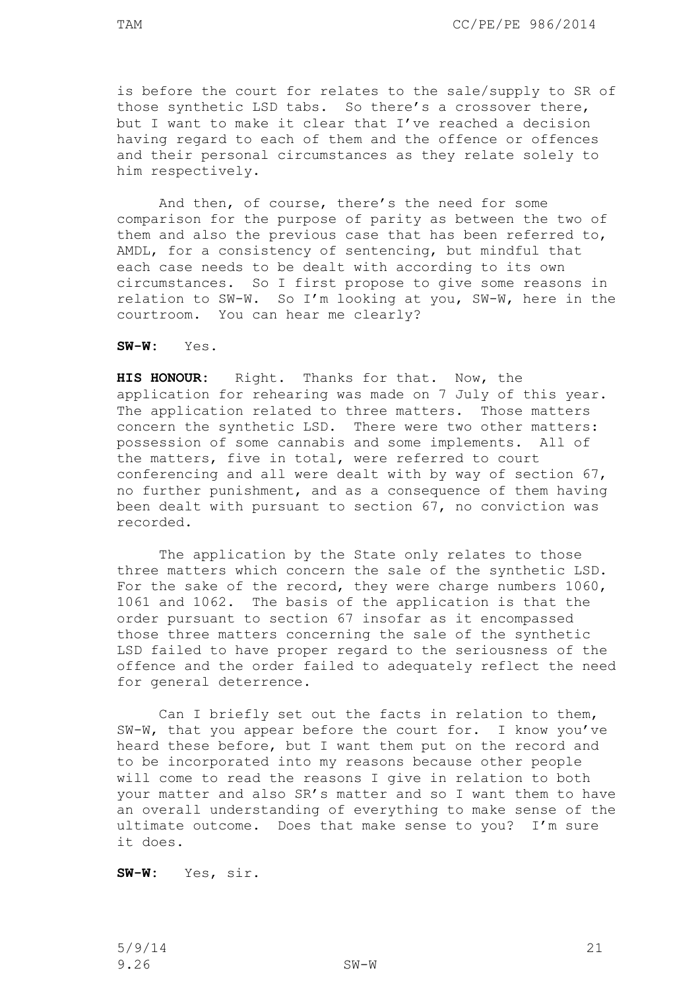is before the court for relates to the sale/supply to SR of those synthetic LSD tabs. So there's a crossover there, but I want to make it clear that I've reached a decision having regard to each of them and the offence or offences and their personal circumstances as they relate solely to him respectively.

And then, of course, there's the need for some comparison for the purpose of parity as between the two of them and also the previous case that has been referred to, AMDL, for a consistency of sentencing, but mindful that each case needs to be dealt with according to its own circumstances. So I first propose to give some reasons in relation to SW-W. So I'm looking at you, SW-W, here in the courtroom. You can hear me clearly?

**SW-W:** Yes.

**HIS HONOUR:** Right. Thanks for that. Now, the application for rehearing was made on 7 July of this year. The application related to three matters. Those matters concern the synthetic LSD. There were two other matters: possession of some cannabis and some implements. All of the matters, five in total, were referred to court conferencing and all were dealt with by way of section 67, no further punishment, and as a consequence of them having been dealt with pursuant to section 67, no conviction was recorded.

The application by the State only relates to those three matters which concern the sale of the synthetic LSD. For the sake of the record, they were charge numbers 1060, 1061 and 1062. The basis of the application is that the order pursuant to section 67 insofar as it encompassed those three matters concerning the sale of the synthetic LSD failed to have proper regard to the seriousness of the offence and the order failed to adequately reflect the need for general deterrence.

Can I briefly set out the facts in relation to them, SW-W, that you appear before the court for. I know you've heard these before, but I want them put on the record and to be incorporated into my reasons because other people will come to read the reasons I give in relation to both your matter and also SR's matter and so I want them to have an overall understanding of everything to make sense of the ultimate outcome. Does that make sense to you? I'm sure it does.

**SW-W:** Yes, sir.

5/9/14 21 9.26 SW-W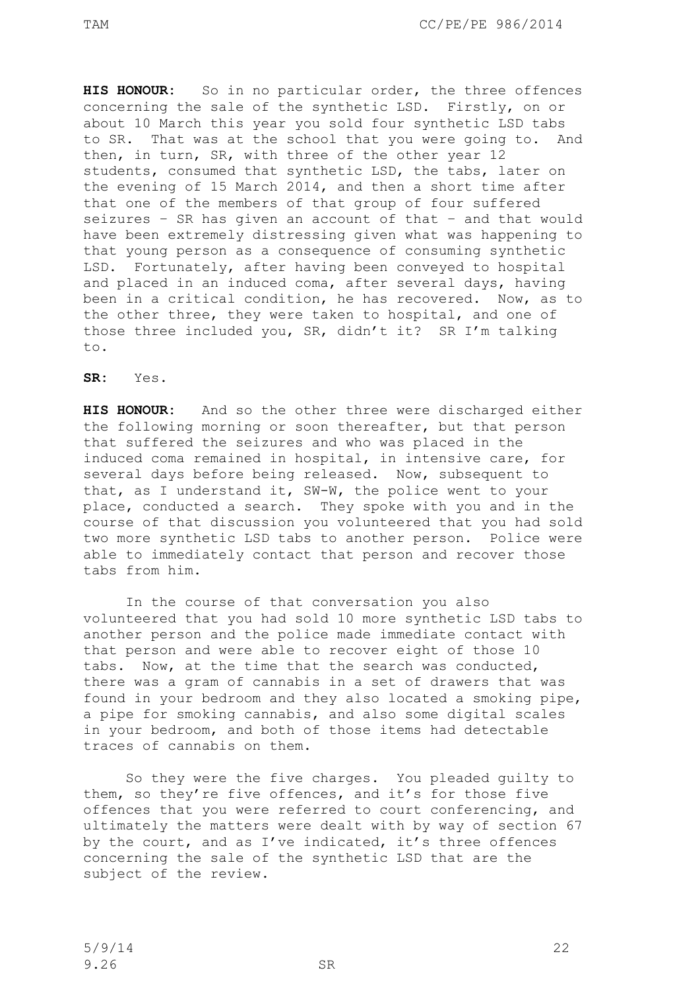**HIS HONOUR:** So in no particular order, the three offences concerning the sale of the synthetic LSD. Firstly, on or about 10 March this year you sold four synthetic LSD tabs to SR. That was at the school that you were going to. And then, in turn, SR, with three of the other year 12 students, consumed that synthetic LSD, the tabs, later on the evening of 15 March 2014, and then a short time after that one of the members of that group of four suffered seizures – SR has given an account of that – and that would have been extremely distressing given what was happening to that young person as a consequence of consuming synthetic LSD. Fortunately, after having been conveyed to hospital and placed in an induced coma, after several days, having been in a critical condition, he has recovered. Now, as to the other three, they were taken to hospital, and one of those three included you, SR, didn't it? SR I'm talking to.

**SR:** Yes.

**HIS HONOUR:** And so the other three were discharged either the following morning or soon thereafter, but that person that suffered the seizures and who was placed in the induced coma remained in hospital, in intensive care, for several days before being released. Now, subsequent to that, as I understand it, SW-W, the police went to your place, conducted a search. They spoke with you and in the course of that discussion you volunteered that you had sold two more synthetic LSD tabs to another person. Police were able to immediately contact that person and recover those tabs from him.

In the course of that conversation you also volunteered that you had sold 10 more synthetic LSD tabs to another person and the police made immediate contact with that person and were able to recover eight of those 10 tabs. Now, at the time that the search was conducted, there was a gram of cannabis in a set of drawers that was found in your bedroom and they also located a smoking pipe, a pipe for smoking cannabis, and also some digital scales in your bedroom, and both of those items had detectable traces of cannabis on them.

So they were the five charges. You pleaded guilty to them, so they're five offences, and it's for those five offences that you were referred to court conferencing, and ultimately the matters were dealt with by way of section 67 by the court, and as I've indicated, it's three offences concerning the sale of the synthetic LSD that are the subject of the review.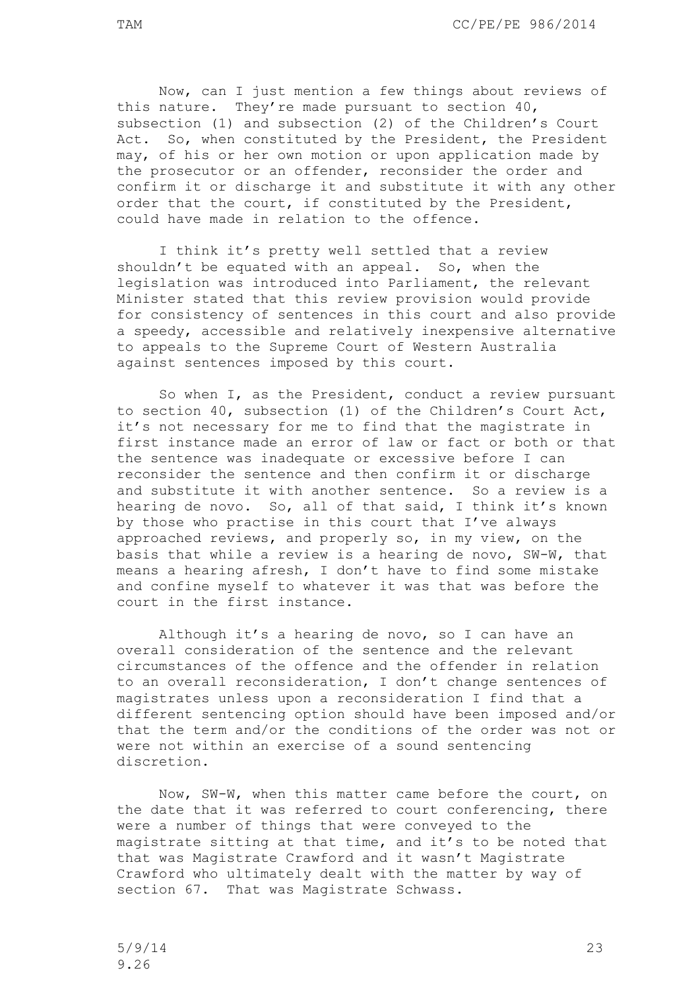Now, can I just mention a few things about reviews of this nature. They're made pursuant to section 40, subsection (1) and subsection (2) of the Children's Court Act. So, when constituted by the President, the President may, of his or her own motion or upon application made by the prosecutor or an offender, reconsider the order and confirm it or discharge it and substitute it with any other order that the court, if constituted by the President, could have made in relation to the offence.

I think it's pretty well settled that a review shouldn't be equated with an appeal. So, when the legislation was introduced into Parliament, the relevant Minister stated that this review provision would provide for consistency of sentences in this court and also provide a speedy, accessible and relatively inexpensive alternative to appeals to the Supreme Court of Western Australia against sentences imposed by this court.

So when I, as the President, conduct a review pursuant to section 40, subsection (1) of the Children's Court Act, it's not necessary for me to find that the magistrate in first instance made an error of law or fact or both or that the sentence was inadequate or excessive before I can reconsider the sentence and then confirm it or discharge and substitute it with another sentence. So a review is a hearing de novo. So, all of that said, I think it's known by those who practise in this court that I've always approached reviews, and properly so, in my view, on the basis that while a review is a hearing de novo, SW-W, that means a hearing afresh, I don't have to find some mistake and confine myself to whatever it was that was before the court in the first instance.

Although it's a hearing de novo, so I can have an overall consideration of the sentence and the relevant circumstances of the offence and the offender in relation to an overall reconsideration, I don't change sentences of magistrates unless upon a reconsideration I find that a different sentencing option should have been imposed and/or that the term and/or the conditions of the order was not or were not within an exercise of a sound sentencing discretion.

Now, SW-W, when this matter came before the court, on the date that it was referred to court conferencing, there were a number of things that were conveyed to the magistrate sitting at that time, and it's to be noted that that was Magistrate Crawford and it wasn't Magistrate Crawford who ultimately dealt with the matter by way of section 67. That was Magistrate Schwass.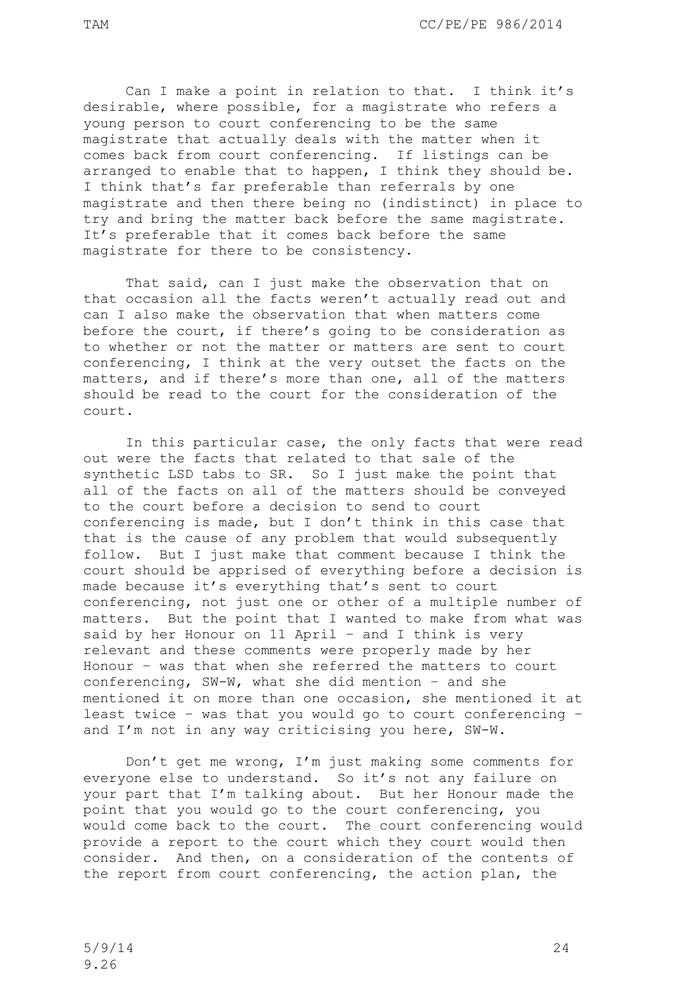Can I make a point in relation to that. I think it's desirable, where possible, for a magistrate who refers a young person to court conferencing to be the same magistrate that actually deals with the matter when it comes back from court conferencing. If listings can be arranged to enable that to happen, I think they should be. I think that's far preferable than referrals by one magistrate and then there being no (indistinct) in place to try and bring the matter back before the same magistrate. It's preferable that it comes back before the same magistrate for there to be consistency.

That said, can I just make the observation that on that occasion all the facts weren't actually read out and can I also make the observation that when matters come before the court, if there's going to be consideration as to whether or not the matter or matters are sent to court conferencing, I think at the very outset the facts on the matters, and if there's more than one, all of the matters should be read to the court for the consideration of the court.

In this particular case, the only facts that were read out were the facts that related to that sale of the synthetic LSD tabs to SR. So I just make the point that all of the facts on all of the matters should be conveyed to the court before a decision to send to court conferencing is made, but I don't think in this case that that is the cause of any problem that would subsequently follow. But I just make that comment because I think the court should be apprised of everything before a decision is made because it's everything that's sent to court conferencing, not just one or other of a multiple number of matters. But the point that I wanted to make from what was said by her Honour on 11 April – and I think is very relevant and these comments were properly made by her Honour – was that when she referred the matters to court conferencing, SW-W, what she did mention – and she mentioned it on more than one occasion, she mentioned it at least twice – was that you would go to court conferencing – and I'm not in any way criticising you here, SW-W.

Don't get me wrong, I'm just making some comments for everyone else to understand. So it's not any failure on your part that I'm talking about. But her Honour made the point that you would go to the court conferencing, you would come back to the court. The court conferencing would provide a report to the court which they court would then consider. And then, on a consideration of the contents of the report from court conferencing, the action plan, the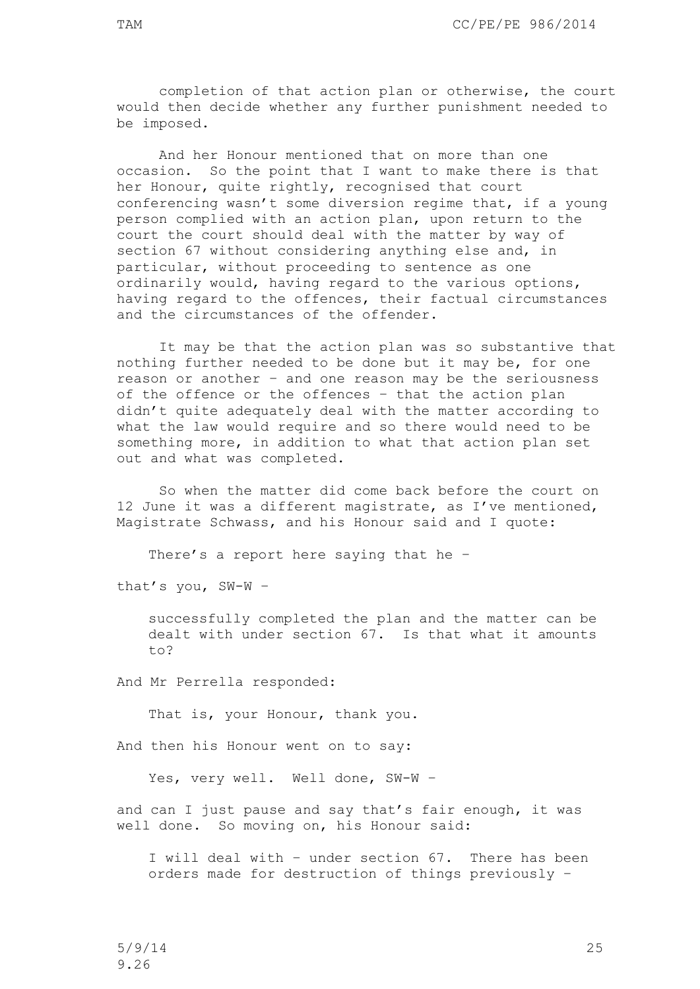completion of that action plan or otherwise, the court would then decide whether any further punishment needed to be imposed.

And her Honour mentioned that on more than one occasion. So the point that I want to make there is that her Honour, quite rightly, recognised that court conferencing wasn't some diversion regime that, if a young person complied with an action plan, upon return to the court the court should deal with the matter by way of section 67 without considering anything else and, in particular, without proceeding to sentence as one ordinarily would, having regard to the various options, having regard to the offences, their factual circumstances and the circumstances of the offender.

It may be that the action plan was so substantive that nothing further needed to be done but it may be, for one reason or another – and one reason may be the seriousness of the offence or the offences – that the action plan didn't quite adequately deal with the matter according to what the law would require and so there would need to be something more, in addition to what that action plan set out and what was completed.

So when the matter did come back before the court on 12 June it was a different magistrate, as I've mentioned, Magistrate Schwass, and his Honour said and I quote:

There's a report here saying that he –

that's you, SW-W –

successfully completed the plan and the matter can be dealt with under section 67. Is that what it amounts to?

And Mr Perrella responded:

That is, your Honour, thank you.

And then his Honour went on to say:

Yes, very well. Well done, SW-W –

and can I just pause and say that's fair enough, it was well done. So moving on, his Honour said:

I will deal with – under section 67. There has been orders made for destruction of things previously –

5/9/14 25 9.26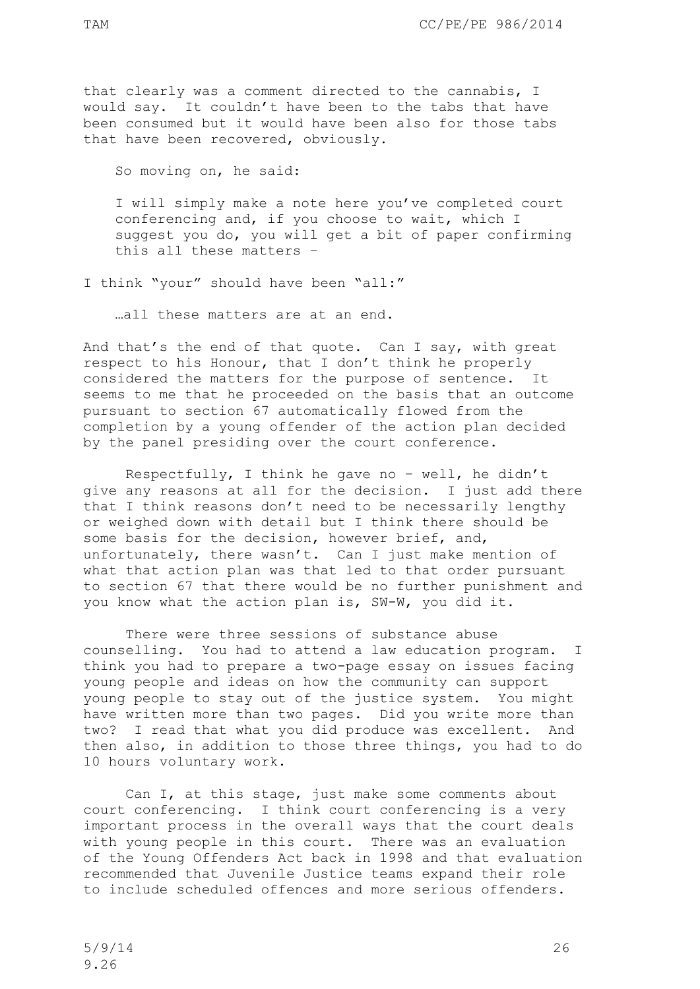that clearly was a comment directed to the cannabis, I would say. It couldn't have been to the tabs that have been consumed but it would have been also for those tabs that have been recovered, obviously.

So moving on, he said:

I will simply make a note here you've completed court conferencing and, if you choose to wait, which I suggest you do, you will get a bit of paper confirming this all these matters –

I think "your" should have been "all:"

…all these matters are at an end.

And that's the end of that quote. Can I say, with great respect to his Honour, that I don't think he properly considered the matters for the purpose of sentence. It seems to me that he proceeded on the basis that an outcome pursuant to section 67 automatically flowed from the completion by a young offender of the action plan decided by the panel presiding over the court conference.

Respectfully, I think he gave no – well, he didn't give any reasons at all for the decision. I just add there that I think reasons don't need to be necessarily lengthy or weighed down with detail but I think there should be some basis for the decision, however brief, and, unfortunately, there wasn't. Can I just make mention of what that action plan was that led to that order pursuant to section 67 that there would be no further punishment and you know what the action plan is, SW-W, you did it.

There were three sessions of substance abuse counselling. You had to attend a law education program. I think you had to prepare a two-page essay on issues facing young people and ideas on how the community can support young people to stay out of the justice system. You might have written more than two pages. Did you write more than two? I read that what you did produce was excellent. And then also, in addition to those three things, you had to do 10 hours voluntary work.

Can I, at this stage, just make some comments about court conferencing. I think court conferencing is a very important process in the overall ways that the court deals with young people in this court. There was an evaluation of the Young Offenders Act back in 1998 and that evaluation recommended that Juvenile Justice teams expand their role to include scheduled offences and more serious offenders.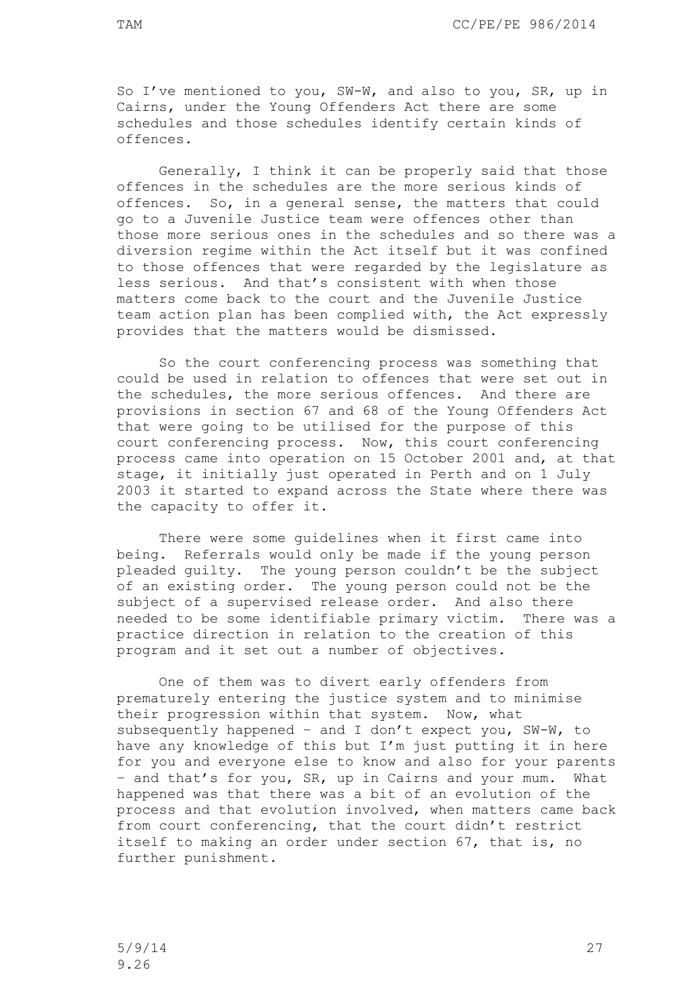So I've mentioned to you, SW-W, and also to you, SR, up in Cairns, under the Young Offenders Act there are some schedules and those schedules identify certain kinds of offences.

Generally, I think it can be properly said that those offences in the schedules are the more serious kinds of offences. So, in a general sense, the matters that could go to a Juvenile Justice team were offences other than those more serious ones in the schedules and so there was a diversion regime within the Act itself but it was confined to those offences that were regarded by the legislature as less serious. And that's consistent with when those matters come back to the court and the Juvenile Justice team action plan has been complied with, the Act expressly provides that the matters would be dismissed.

So the court conferencing process was something that could be used in relation to offences that were set out in the schedules, the more serious offences. And there are provisions in section 67 and 68 of the Young Offenders Act that were going to be utilised for the purpose of this court conferencing process. Now, this court conferencing process came into operation on 15 October 2001 and, at that stage, it initially just operated in Perth and on 1 July 2003 it started to expand across the State where there was the capacity to offer it.

There were some guidelines when it first came into being. Referrals would only be made if the young person pleaded guilty. The young person couldn't be the subject of an existing order. The young person could not be the subject of a supervised release order. And also there needed to be some identifiable primary victim. There was a practice direction in relation to the creation of this program and it set out a number of objectives.

One of them was to divert early offenders from prematurely entering the justice system and to minimise their progression within that system. Now, what subsequently happened – and I don't expect you, SW-W, to have any knowledge of this but I'm just putting it in here for you and everyone else to know and also for your parents – and that's for you, SR, up in Cairns and your mum. What happened was that there was a bit of an evolution of the process and that evolution involved, when matters came back from court conferencing, that the court didn't restrict itself to making an order under section 67, that is, no further punishment.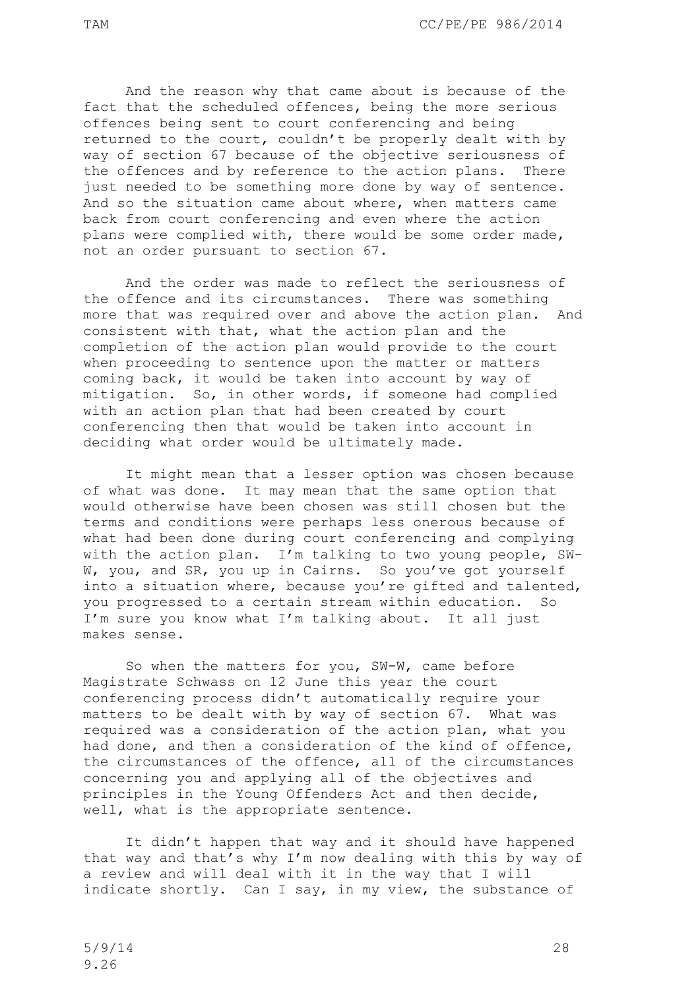And the reason why that came about is because of the fact that the scheduled offences, being the more serious offences being sent to court conferencing and being returned to the court, couldn't be properly dealt with by way of section 67 because of the objective seriousness of the offences and by reference to the action plans. There just needed to be something more done by way of sentence. And so the situation came about where, when matters came back from court conferencing and even where the action plans were complied with, there would be some order made, not an order pursuant to section 67.

And the order was made to reflect the seriousness of the offence and its circumstances. There was something more that was required over and above the action plan. And consistent with that, what the action plan and the completion of the action plan would provide to the court when proceeding to sentence upon the matter or matters coming back, it would be taken into account by way of mitigation. So, in other words, if someone had complied with an action plan that had been created by court conferencing then that would be taken into account in deciding what order would be ultimately made.

It might mean that a lesser option was chosen because of what was done. It may mean that the same option that would otherwise have been chosen was still chosen but the terms and conditions were perhaps less onerous because of what had been done during court conferencing and complying with the action plan. I'm talking to two young people, SW-W, you, and SR, you up in Cairns. So you've got yourself into a situation where, because you're gifted and talented, you progressed to a certain stream within education. So I'm sure you know what I'm talking about. It all just makes sense.

So when the matters for you, SW-W, came before Magistrate Schwass on 12 June this year the court conferencing process didn't automatically require your matters to be dealt with by way of section 67. What was required was a consideration of the action plan, what you had done, and then a consideration of the kind of offence, the circumstances of the offence, all of the circumstances concerning you and applying all of the objectives and principles in the Young Offenders Act and then decide, well, what is the appropriate sentence.

It didn't happen that way and it should have happened that way and that's why I'm now dealing with this by way of a review and will deal with it in the way that I will indicate shortly. Can I say, in my view, the substance of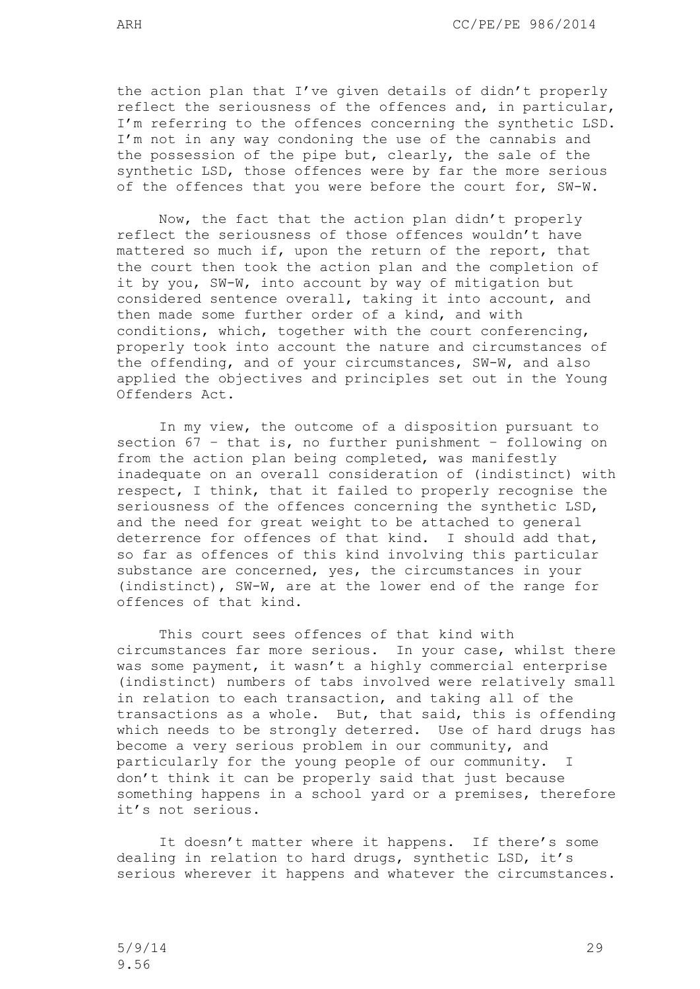the action plan that I've given details of didn't properly reflect the seriousness of the offences and, in particular, I'm referring to the offences concerning the synthetic LSD. I'm not in any way condoning the use of the cannabis and the possession of the pipe but, clearly, the sale of the synthetic LSD, those offences were by far the more serious of the offences that you were before the court for, SW-W.

Now, the fact that the action plan didn't properly reflect the seriousness of those offences wouldn't have mattered so much if, upon the return of the report, that the court then took the action plan and the completion of it by you, SW-W, into account by way of mitigation but considered sentence overall, taking it into account, and then made some further order of a kind, and with conditions, which, together with the court conferencing, properly took into account the nature and circumstances of the offending, and of your circumstances, SW-W, and also applied the objectives and principles set out in the Young Offenders Act.

In my view, the outcome of a disposition pursuant to section 67 – that is, no further punishment – following on from the action plan being completed, was manifestly inadequate on an overall consideration of (indistinct) with respect, I think, that it failed to properly recognise the seriousness of the offences concerning the synthetic LSD, and the need for great weight to be attached to general deterrence for offences of that kind. I should add that, so far as offences of this kind involving this particular substance are concerned, yes, the circumstances in your (indistinct), SW-W, are at the lower end of the range for offences of that kind.

This court sees offences of that kind with circumstances far more serious. In your case, whilst there was some payment, it wasn't a highly commercial enterprise (indistinct) numbers of tabs involved were relatively small in relation to each transaction, and taking all of the transactions as a whole. But, that said, this is offending which needs to be strongly deterred. Use of hard drugs has become a very serious problem in our community, and particularly for the young people of our community. I don't think it can be properly said that just because something happens in a school yard or a premises, therefore it's not serious.

It doesn't matter where it happens. If there's some dealing in relation to hard drugs, synthetic LSD, it's serious wherever it happens and whatever the circumstances.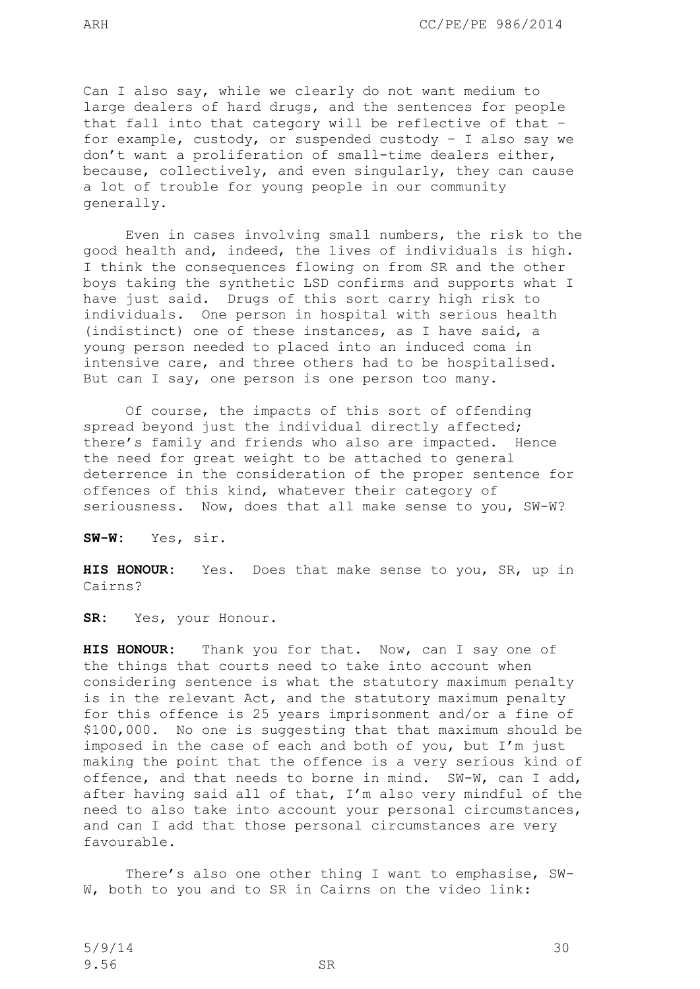Can I also say, while we clearly do not want medium to large dealers of hard drugs, and the sentences for people that fall into that category will be reflective of that – for example, custody, or suspended custody – I also say we don't want a proliferation of small-time dealers either, because, collectively, and even singularly, they can cause a lot of trouble for young people in our community generally.

Even in cases involving small numbers, the risk to the good health and, indeed, the lives of individuals is high. I think the consequences flowing on from SR and the other boys taking the synthetic LSD confirms and supports what I have just said. Drugs of this sort carry high risk to individuals. One person in hospital with serious health (indistinct) one of these instances, as I have said, a young person needed to placed into an induced coma in intensive care, and three others had to be hospitalised. But can I say, one person is one person too many.

Of course, the impacts of this sort of offending spread beyond just the individual directly affected; there's family and friends who also are impacted. Hence the need for great weight to be attached to general deterrence in the consideration of the proper sentence for offences of this kind, whatever their category of seriousness. Now, does that all make sense to you, SW-W?

**SW-W:** Yes, sir.

**HIS HONOUR:** Yes. Does that make sense to you, SR, up in Cairns?

**SR:** Yes, your Honour.

**HIS HONOUR:** Thank you for that. Now, can I say one of the things that courts need to take into account when considering sentence is what the statutory maximum penalty is in the relevant Act, and the statutory maximum penalty for this offence is 25 years imprisonment and/or a fine of \$100,000. No one is suggesting that that maximum should be imposed in the case of each and both of you, but I'm just making the point that the offence is a very serious kind of offence, and that needs to borne in mind. SW-W, can I add, after having said all of that, I'm also very mindful of the need to also take into account your personal circumstances, and can I add that those personal circumstances are very favourable.

There's also one other thing I want to emphasise, SW-W, both to you and to SR in Cairns on the video link: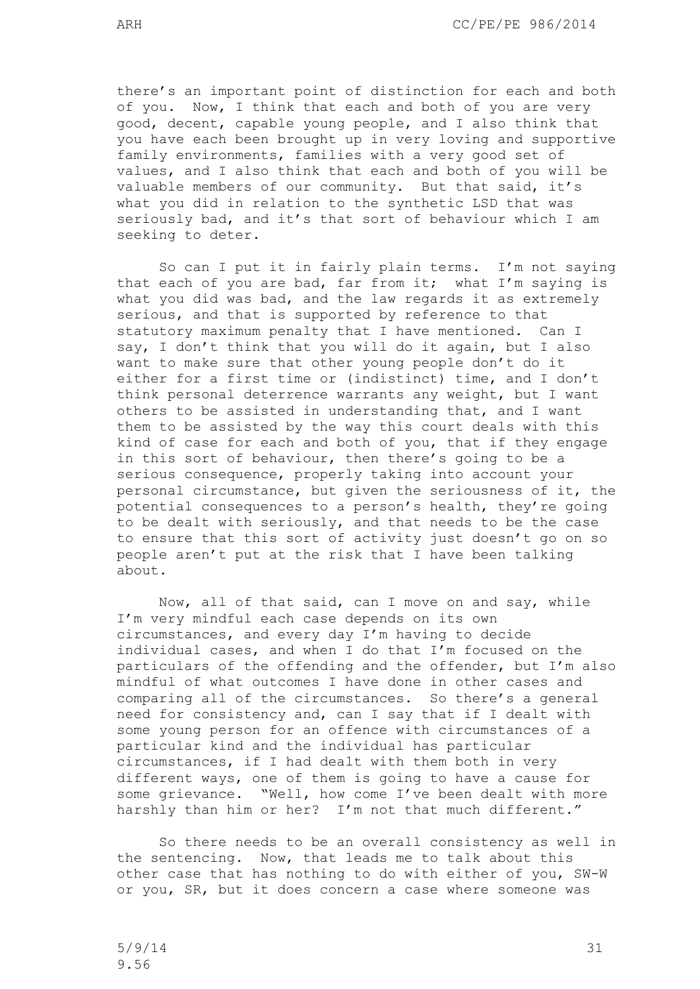there's an important point of distinction for each and both of you. Now, I think that each and both of you are very good, decent, capable young people, and I also think that you have each been brought up in very loving and supportive family environments, families with a very good set of values, and I also think that each and both of you will be valuable members of our community. But that said, it's what you did in relation to the synthetic LSD that was seriously bad, and it's that sort of behaviour which I am seeking to deter.

So can I put it in fairly plain terms. I'm not saying that each of you are bad, far from it; what I'm saying is what you did was bad, and the law regards it as extremely serious, and that is supported by reference to that statutory maximum penalty that I have mentioned. Can I say, I don't think that you will do it again, but I also want to make sure that other young people don't do it either for a first time or (indistinct) time, and I don't think personal deterrence warrants any weight, but I want others to be assisted in understanding that, and I want them to be assisted by the way this court deals with this kind of case for each and both of you, that if they engage in this sort of behaviour, then there's going to be a serious consequence, properly taking into account your personal circumstance, but given the seriousness of it, the potential consequences to a person's health, they're going to be dealt with seriously, and that needs to be the case to ensure that this sort of activity just doesn't go on so people aren't put at the risk that I have been talking about.

Now, all of that said, can I move on and say, while I'm very mindful each case depends on its own circumstances, and every day I'm having to decide individual cases, and when I do that I'm focused on the particulars of the offending and the offender, but I'm also mindful of what outcomes I have done in other cases and comparing all of the circumstances. So there's a general need for consistency and, can I say that if I dealt with some young person for an offence with circumstances of a particular kind and the individual has particular circumstances, if I had dealt with them both in very different ways, one of them is going to have a cause for some grievance. "Well, how come I've been dealt with more harshly than him or her? I'm not that much different."

So there needs to be an overall consistency as well in the sentencing. Now, that leads me to talk about this other case that has nothing to do with either of you, SW-W or you, SR, but it does concern a case where someone was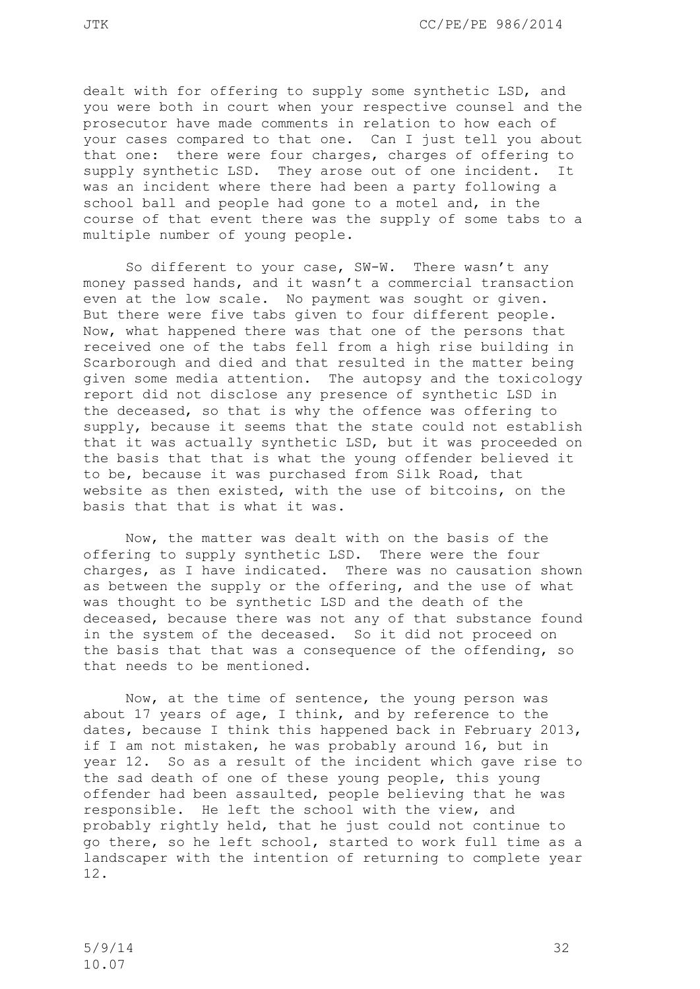dealt with for offering to supply some synthetic LSD, and you were both in court when your respective counsel and the prosecutor have made comments in relation to how each of your cases compared to that one. Can I just tell you about that one: there were four charges, charges of offering to supply synthetic LSD. They arose out of one incident. It was an incident where there had been a party following a school ball and people had gone to a motel and, in the course of that event there was the supply of some tabs to a multiple number of young people.

So different to your case, SW-W. There wasn't any money passed hands, and it wasn't a commercial transaction even at the low scale. No payment was sought or given. But there were five tabs given to four different people. Now, what happened there was that one of the persons that received one of the tabs fell from a high rise building in Scarborough and died and that resulted in the matter being given some media attention. The autopsy and the toxicology report did not disclose any presence of synthetic LSD in the deceased, so that is why the offence was offering to supply, because it seems that the state could not establish that it was actually synthetic LSD, but it was proceeded on the basis that that is what the young offender believed it to be, because it was purchased from Silk Road, that website as then existed, with the use of bitcoins, on the basis that that is what it was.

Now, the matter was dealt with on the basis of the offering to supply synthetic LSD. There were the four charges, as I have indicated. There was no causation shown as between the supply or the offering, and the use of what was thought to be synthetic LSD and the death of the deceased, because there was not any of that substance found in the system of the deceased. So it did not proceed on the basis that that was a consequence of the offending, so that needs to be mentioned.

Now, at the time of sentence, the young person was about 17 years of age, I think, and by reference to the dates, because I think this happened back in February 2013, if I am not mistaken, he was probably around 16, but in year 12. So as a result of the incident which gave rise to the sad death of one of these young people, this young offender had been assaulted, people believing that he was responsible. He left the school with the view, and probably rightly held, that he just could not continue to go there, so he left school, started to work full time as a landscaper with the intention of returning to complete year 12.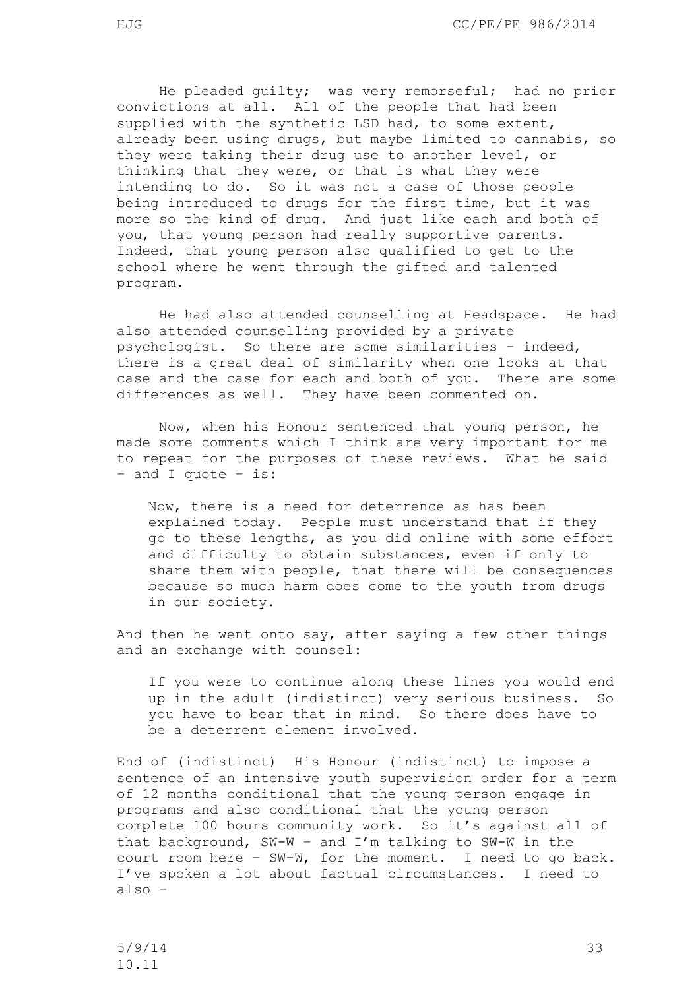He pleaded guilty; was very remorseful; had no prior convictions at all. All of the people that had been supplied with the synthetic LSD had, to some extent, already been using drugs, but maybe limited to cannabis, so they were taking their drug use to another level, or thinking that they were, or that is what they were intending to do. So it was not a case of those people being introduced to drugs for the first time, but it was more so the kind of drug. And just like each and both of you, that young person had really supportive parents. Indeed, that young person also qualified to get to the school where he went through the gifted and talented program.

He had also attended counselling at Headspace. He had also attended counselling provided by a private psychologist. So there are some similarities – indeed, there is a great deal of similarity when one looks at that case and the case for each and both of you. There are some differences as well. They have been commented on.

Now, when his Honour sentenced that young person, he made some comments which I think are very important for me to repeat for the purposes of these reviews. What he said – and I quote – is:

Now, there is a need for deterrence as has been explained today. People must understand that if they go to these lengths, as you did online with some effort and difficulty to obtain substances, even if only to share them with people, that there will be consequences because so much harm does come to the youth from drugs in our society.

And then he went onto say, after saying a few other things and an exchange with counsel:

If you were to continue along these lines you would end up in the adult (indistinct) very serious business. So you have to bear that in mind. So there does have to be a deterrent element involved.

End of (indistinct) His Honour (indistinct) to impose a sentence of an intensive youth supervision order for a term of 12 months conditional that the young person engage in programs and also conditional that the young person complete 100 hours community work. So it's against all of that background, SW-W – and I'm talking to SW-W in the court room here – SW-W, for the moment. I need to go back. I've spoken a lot about factual circumstances. I need to also –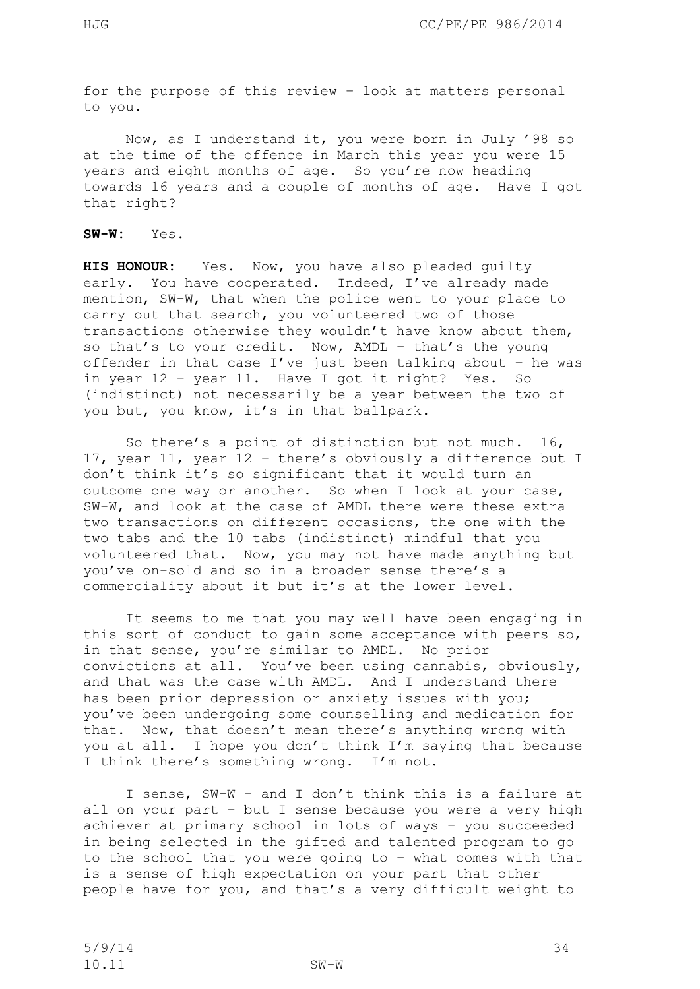for the purpose of this review – look at matters personal to you.

Now, as I understand it, you were born in July '98 so at the time of the offence in March this year you were 15 years and eight months of age. So you're now heading towards 16 years and a couple of months of age. Have I got that right?

**SW-W:** Yes.

**HIS HONOUR:** Yes. Now, you have also pleaded guilty early. You have cooperated. Indeed, I've already made mention, SW-W, that when the police went to your place to carry out that search, you volunteered two of those transactions otherwise they wouldn't have know about them, so that's to your credit. Now, AMDL – that's the young offender in that case I've just been talking about – he was in year 12 – year 11. Have I got it right? Yes. So (indistinct) not necessarily be a year between the two of you but, you know, it's in that ballpark.

So there's a point of distinction but not much. 16, 17, year 11, year 12 – there's obviously a difference but I don't think it's so significant that it would turn an outcome one way or another. So when I look at your case, SW-W, and look at the case of AMDL there were these extra two transactions on different occasions, the one with the two tabs and the 10 tabs (indistinct) mindful that you volunteered that. Now, you may not have made anything but you've on-sold and so in a broader sense there's a commerciality about it but it's at the lower level.

It seems to me that you may well have been engaging in this sort of conduct to gain some acceptance with peers so, in that sense, you're similar to AMDL. No prior convictions at all. You've been using cannabis, obviously, and that was the case with AMDL. And I understand there has been prior depression or anxiety issues with you; you've been undergoing some counselling and medication for that. Now, that doesn't mean there's anything wrong with you at all. I hope you don't think I'm saying that because I think there's something wrong. I'm not.

I sense, SW-W – and I don't think this is a failure at all on your part – but I sense because you were a very high achiever at primary school in lots of ways – you succeeded in being selected in the gifted and talented program to go to the school that you were going to – what comes with that is a sense of high expectation on your part that other people have for you, and that's a very difficult weight to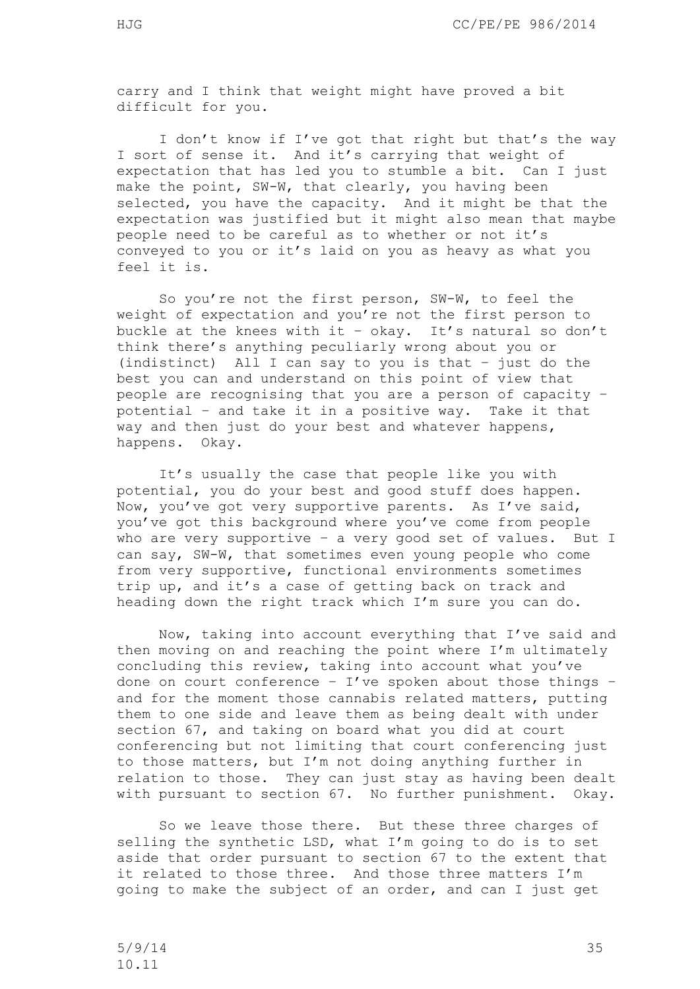carry and I think that weight might have proved a bit difficult for you.

I don't know if I've got that right but that's the way I sort of sense it. And it's carrying that weight of expectation that has led you to stumble a bit. Can I just make the point, SW-W, that clearly, you having been selected, you have the capacity. And it might be that the expectation was justified but it might also mean that maybe people need to be careful as to whether or not it's conveyed to you or it's laid on you as heavy as what you feel it is.

So you're not the first person, SW-W, to feel the weight of expectation and you're not the first person to buckle at the knees with it - okay. It's natural so don't think there's anything peculiarly wrong about you or (indistinct) All I can say to you is that – just do the best you can and understand on this point of view that people are recognising that you are a person of capacity – potential – and take it in a positive way. Take it that way and then just do your best and whatever happens, happens. Okay.

It's usually the case that people like you with potential, you do your best and good stuff does happen. Now, you've got very supportive parents. As I've said, you've got this background where you've come from people who are very supportive - a very good set of values. But I can say, SW-W, that sometimes even young people who come from very supportive, functional environments sometimes trip up, and it's a case of getting back on track and heading down the right track which I'm sure you can do.

Now, taking into account everything that I've said and then moving on and reaching the point where I'm ultimately concluding this review, taking into account what you've done on court conference -  $I'$ ve spoken about those things and for the moment those cannabis related matters, putting them to one side and leave them as being dealt with under section 67, and taking on board what you did at court conferencing but not limiting that court conferencing just to those matters, but I'm not doing anything further in relation to those. They can just stay as having been dealt with pursuant to section 67. No further punishment. Okay.

So we leave those there. But these three charges of selling the synthetic LSD, what I'm going to do is to set aside that order pursuant to section 67 to the extent that it related to those three. And those three matters I'm going to make the subject of an order, and can I just get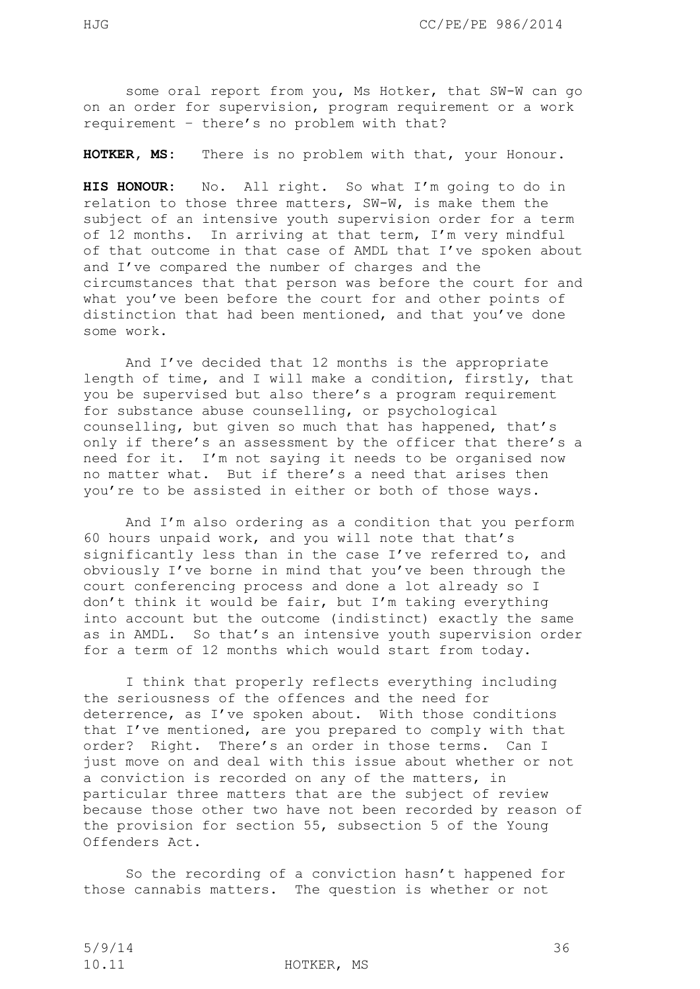some oral report from you, Ms Hotker, that SW-W can go on an order for supervision, program requirement or a work requirement – there's no problem with that?

**HOTKER, MS:** There is no problem with that, your Honour.

**HIS HONOUR:** No. All right. So what I'm going to do in relation to those three matters, SW-W, is make them the subject of an intensive youth supervision order for a term of 12 months. In arriving at that term, I'm very mindful of that outcome in that case of AMDL that I've spoken about and I've compared the number of charges and the circumstances that that person was before the court for and what you've been before the court for and other points of distinction that had been mentioned, and that you've done some work.

And I've decided that 12 months is the appropriate length of time, and I will make a condition, firstly, that you be supervised but also there's a program requirement for substance abuse counselling, or psychological counselling, but given so much that has happened, that's only if there's an assessment by the officer that there's a need for it. I'm not saying it needs to be organised now no matter what. But if there's a need that arises then you're to be assisted in either or both of those ways.

And I'm also ordering as a condition that you perform 60 hours unpaid work, and you will note that that's significantly less than in the case I've referred to, and obviously I've borne in mind that you've been through the court conferencing process and done a lot already so I don't think it would be fair, but I'm taking everything into account but the outcome (indistinct) exactly the same as in AMDL. So that's an intensive youth supervision order for a term of 12 months which would start from today.

I think that properly reflects everything including the seriousness of the offences and the need for deterrence, as I've spoken about. With those conditions that I've mentioned, are you prepared to comply with that order? Right. There's an order in those terms. Can I just move on and deal with this issue about whether or not a conviction is recorded on any of the matters, in particular three matters that are the subject of review because those other two have not been recorded by reason of the provision for section 55, subsection 5 of the Young Offenders Act.

So the recording of a conviction hasn't happened for those cannabis matters. The question is whether or not

10.11 HOTKER, MS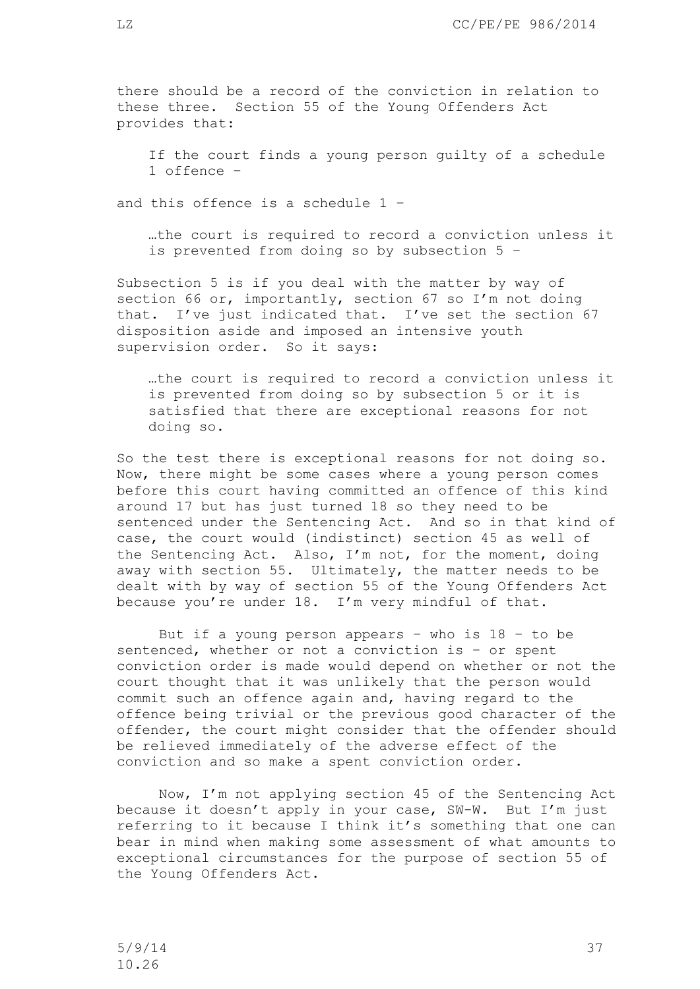there should be a record of the conviction in relation to these three. Section 55 of the Young Offenders Act provides that:

If the court finds a young person guilty of a schedule 1 offence –

and this offence is a schedule 1 –

…the court is required to record a conviction unless it is prevented from doing so by subsection 5 –

Subsection 5 is if you deal with the matter by way of section 66 or, importantly, section 67 so I'm not doing that. I've just indicated that. I've set the section 67 disposition aside and imposed an intensive youth supervision order. So it says:

…the court is required to record a conviction unless it is prevented from doing so by subsection 5 or it is satisfied that there are exceptional reasons for not doing so.

So the test there is exceptional reasons for not doing so. Now, there might be some cases where a young person comes before this court having committed an offence of this kind around 17 but has just turned 18 so they need to be sentenced under the Sentencing Act. And so in that kind of case, the court would (indistinct) section 45 as well of the Sentencing Act. Also, I'm not, for the moment, doing away with section 55. Ultimately, the matter needs to be dealt with by way of section 55 of the Young Offenders Act because you're under 18. I'm very mindful of that.

But if a young person appears - who is  $18 - to be$ sentenced, whether or not a conviction is – or spent conviction order is made would depend on whether or not the court thought that it was unlikely that the person would commit such an offence again and, having regard to the offence being trivial or the previous good character of the offender, the court might consider that the offender should be relieved immediately of the adverse effect of the conviction and so make a spent conviction order.

Now, I'm not applying section 45 of the Sentencing Act because it doesn't apply in your case, SW-W. But I'm just referring to it because I think it's something that one can bear in mind when making some assessment of what amounts to exceptional circumstances for the purpose of section 55 of the Young Offenders Act.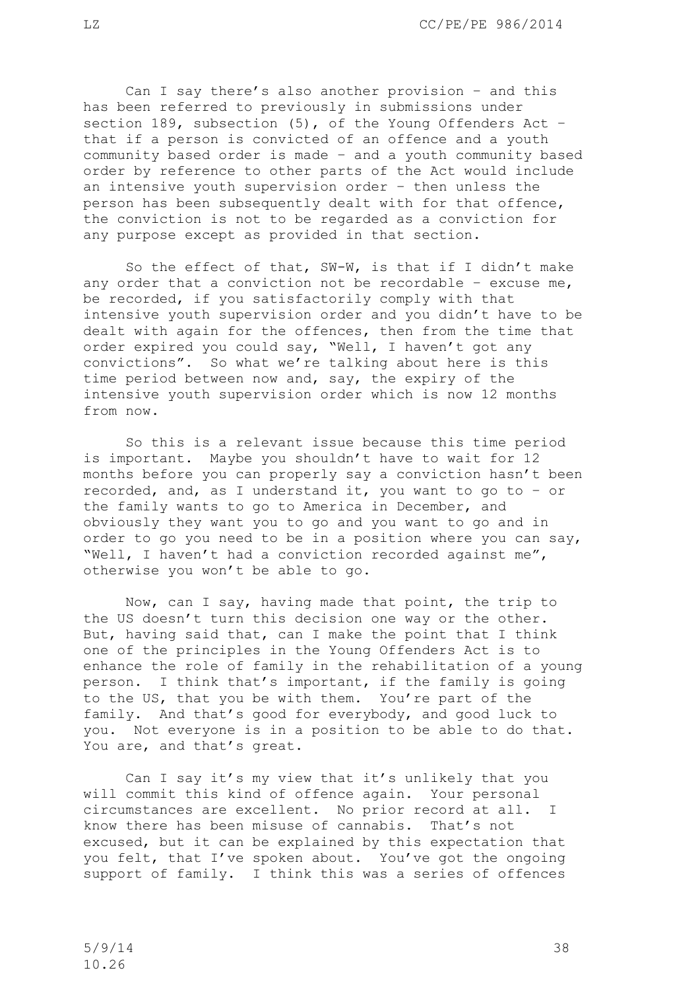Can I say there's also another provision – and this has been referred to previously in submissions under section 189, subsection (5), of the Young Offenders Act – that if a person is convicted of an offence and a youth community based order is made – and a youth community based order by reference to other parts of the Act would include an intensive youth supervision order – then unless the person has been subsequently dealt with for that offence, the conviction is not to be regarded as a conviction for any purpose except as provided in that section.

So the effect of that, SW-W, is that if I didn't make any order that a conviction not be recordable – excuse me, be recorded, if you satisfactorily comply with that intensive youth supervision order and you didn't have to be dealt with again for the offences, then from the time that order expired you could say, "Well, I haven't got any convictions". So what we're talking about here is this time period between now and, say, the expiry of the intensive youth supervision order which is now 12 months from now.

So this is a relevant issue because this time period is important. Maybe you shouldn't have to wait for 12 months before you can properly say a conviction hasn't been recorded, and, as I understand it, you want to go to – or the family wants to go to America in December, and obviously they want you to go and you want to go and in order to go you need to be in a position where you can say, "Well, I haven't had a conviction recorded against me", otherwise you won't be able to go.

Now, can I say, having made that point, the trip to the US doesn't turn this decision one way or the other. But, having said that, can I make the point that I think one of the principles in the Young Offenders Act is to enhance the role of family in the rehabilitation of a young person. I think that's important, if the family is going to the US, that you be with them. You're part of the family. And that's good for everybody, and good luck to you. Not everyone is in a position to be able to do that. You are, and that's great.

Can I say it's my view that it's unlikely that you will commit this kind of offence again. Your personal circumstances are excellent. No prior record at all. I know there has been misuse of cannabis. That's not excused, but it can be explained by this expectation that you felt, that I've spoken about. You've got the ongoing support of family. I think this was a series of offences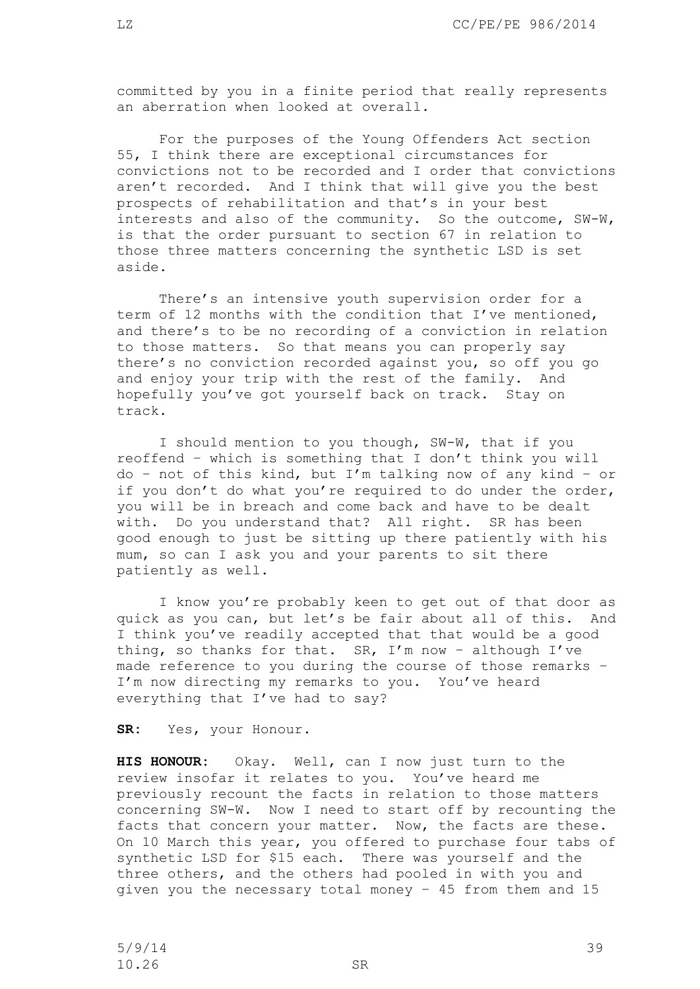committed by you in a finite period that really represents an aberration when looked at overall.

For the purposes of the Young Offenders Act section 55, I think there are exceptional circumstances for convictions not to be recorded and I order that convictions aren't recorded. And I think that will give you the best prospects of rehabilitation and that's in your best interests and also of the community. So the outcome, SW-W, is that the order pursuant to section 67 in relation to those three matters concerning the synthetic LSD is set aside.

There's an intensive youth supervision order for a term of 12 months with the condition that I've mentioned, and there's to be no recording of a conviction in relation to those matters. So that means you can properly say there's no conviction recorded against you, so off you go and enjoy your trip with the rest of the family. And hopefully you've got yourself back on track. Stay on track.

I should mention to you though, SW-W, that if you reoffend – which is something that I don't think you will do – not of this kind, but I'm talking now of any kind – or if you don't do what you're required to do under the order, you will be in breach and come back and have to be dealt with. Do you understand that? All right. SR has been good enough to just be sitting up there patiently with his mum, so can I ask you and your parents to sit there patiently as well.

I know you're probably keen to get out of that door as quick as you can, but let's be fair about all of this. And I think you've readily accepted that that would be a good thing, so thanks for that. SR, I'm now - although I've made reference to you during the course of those remarks – I'm now directing my remarks to you. You've heard everything that I've had to say?

**SR:** Yes, your Honour.

**HIS HONOUR:** Okay. Well, can I now just turn to the review insofar it relates to you. You've heard me previously recount the facts in relation to those matters concerning SW-W. Now I need to start off by recounting the facts that concern your matter. Now, the facts are these. On 10 March this year, you offered to purchase four tabs of synthetic LSD for \$15 each. There was yourself and the three others, and the others had pooled in with you and given you the necessary total money – 45 from them and 15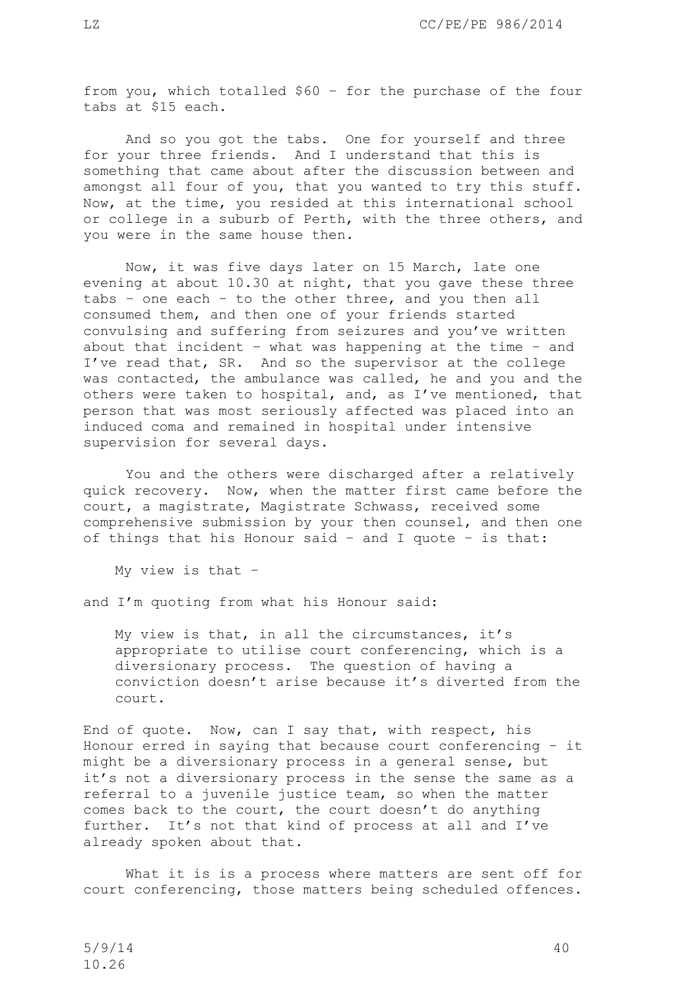from you, which totalled \$60 – for the purchase of the four tabs at \$15 each.

And so you got the tabs. One for yourself and three for your three friends. And I understand that this is something that came about after the discussion between and amongst all four of you, that you wanted to try this stuff. Now, at the time, you resided at this international school or college in a suburb of Perth, with the three others, and you were in the same house then.

Now, it was five days later on 15 March, late one evening at about 10.30 at night, that you gave these three tabs – one each – to the other three, and you then all consumed them, and then one of your friends started convulsing and suffering from seizures and you've written about that incident – what was happening at the time – and I've read that, SR. And so the supervisor at the college was contacted, the ambulance was called, he and you and the others were taken to hospital, and, as I've mentioned, that person that was most seriously affected was placed into an induced coma and remained in hospital under intensive supervision for several days.

You and the others were discharged after a relatively quick recovery. Now, when the matter first came before the court, a magistrate, Magistrate Schwass, received some comprehensive submission by your then counsel, and then one of things that his Honour said – and I quote – is that:

My view is that –

and I'm quoting from what his Honour said:

My view is that, in all the circumstances, it's appropriate to utilise court conferencing, which is a diversionary process. The question of having a conviction doesn't arise because it's diverted from the court.

End of quote. Now, can I say that, with respect, his Honour erred in saying that because court conferencing – it might be a diversionary process in a general sense, but it's not a diversionary process in the sense the same as a referral to a juvenile justice team, so when the matter comes back to the court, the court doesn't do anything further. It's not that kind of process at all and I've already spoken about that.

What it is is a process where matters are sent off for court conferencing, those matters being scheduled offences.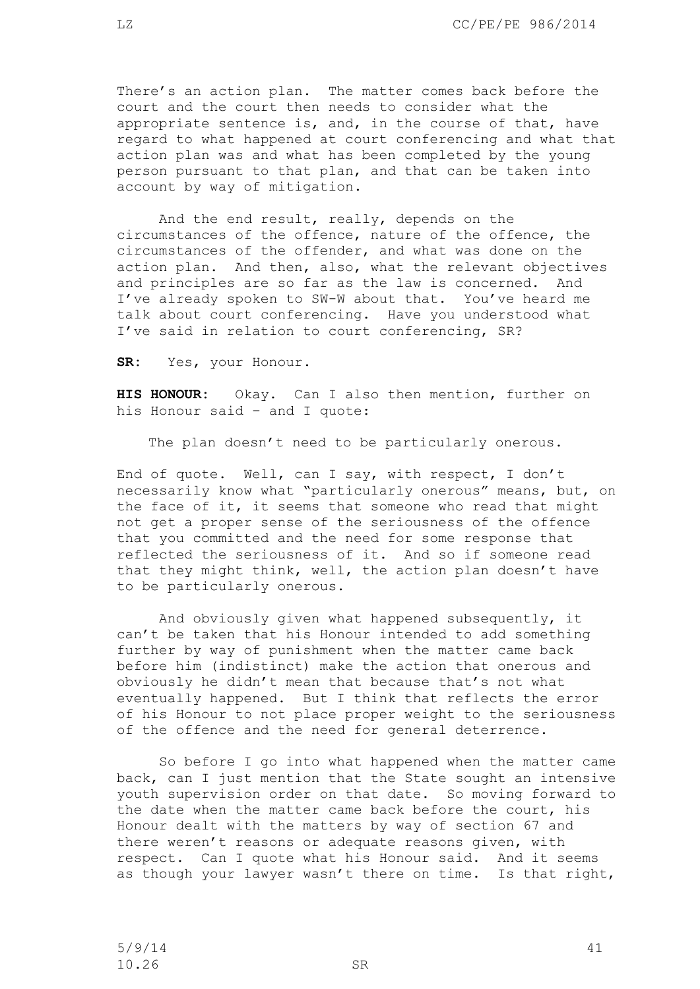There's an action plan. The matter comes back before the court and the court then needs to consider what the appropriate sentence is, and, in the course of that, have regard to what happened at court conferencing and what that action plan was and what has been completed by the young person pursuant to that plan, and that can be taken into account by way of mitigation.

And the end result, really, depends on the circumstances of the offence, nature of the offence, the circumstances of the offender, and what was done on the action plan. And then, also, what the relevant objectives and principles are so far as the law is concerned. And I've already spoken to SW-W about that. You've heard me talk about court conferencing. Have you understood what I've said in relation to court conferencing, SR?

**SR:** Yes, your Honour.

**HIS HONOUR:** Okay. Can I also then mention, further on his Honour said – and I quote:

The plan doesn't need to be particularly onerous.

End of quote. Well, can I say, with respect, I don't necessarily know what "particularly onerous" means, but, on the face of it, it seems that someone who read that might not get a proper sense of the seriousness of the offence that you committed and the need for some response that reflected the seriousness of it. And so if someone read that they might think, well, the action plan doesn't have to be particularly onerous.

And obviously given what happened subsequently, it can't be taken that his Honour intended to add something further by way of punishment when the matter came back before him (indistinct) make the action that onerous and obviously he didn't mean that because that's not what eventually happened. But I think that reflects the error of his Honour to not place proper weight to the seriousness of the offence and the need for general deterrence.

So before I go into what happened when the matter came back, can I just mention that the State sought an intensive youth supervision order on that date. So moving forward to the date when the matter came back before the court, his Honour dealt with the matters by way of section 67 and there weren't reasons or adequate reasons given, with respect. Can I quote what his Honour said. And it seems as though your lawyer wasn't there on time. Is that right,

5/9/14 41 10.26 SR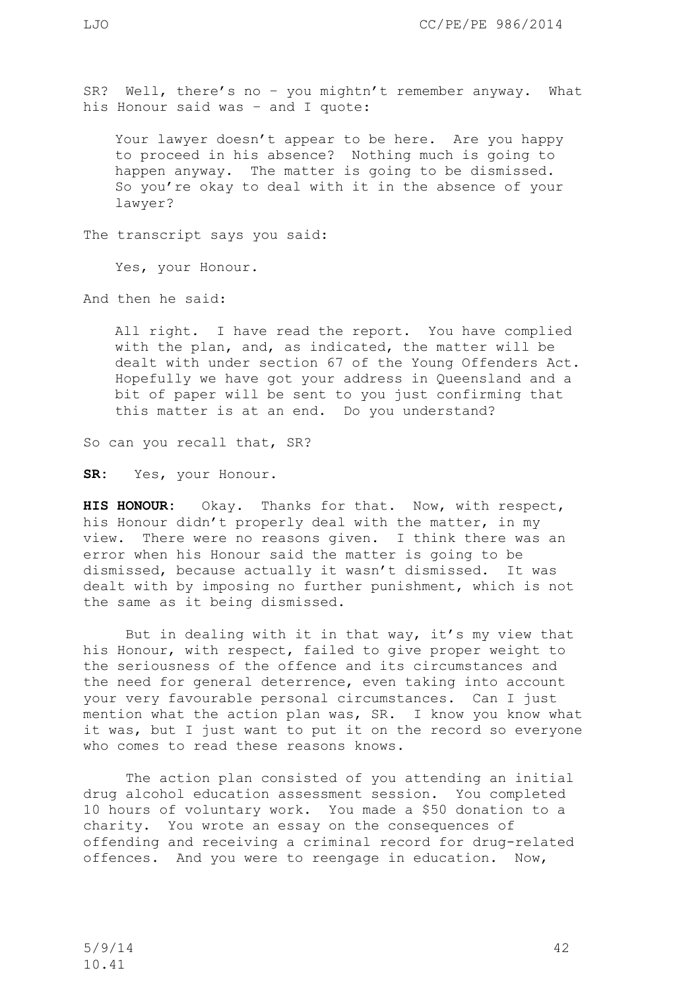SR? Well, there's no – you mightn't remember anyway. What his Honour said was – and I quote:

Your lawyer doesn't appear to be here. Are you happy to proceed in his absence? Nothing much is going to happen anyway. The matter is going to be dismissed. So you're okay to deal with it in the absence of your lawyer?

The transcript says you said:

Yes, your Honour.

And then he said:

All right. I have read the report. You have complied with the plan, and, as indicated, the matter will be dealt with under section 67 of the Young Offenders Act. Hopefully we have got your address in Queensland and a bit of paper will be sent to you just confirming that this matter is at an end. Do you understand?

So can you recall that, SR?

**SR:** Yes, your Honour.

**HIS HONOUR:** Okay. Thanks for that. Now, with respect, his Honour didn't properly deal with the matter, in my view. There were no reasons given. I think there was an error when his Honour said the matter is going to be dismissed, because actually it wasn't dismissed. It was dealt with by imposing no further punishment, which is not the same as it being dismissed.

But in dealing with it in that way, it's my view that his Honour, with respect, failed to give proper weight to the seriousness of the offence and its circumstances and the need for general deterrence, even taking into account your very favourable personal circumstances. Can I just mention what the action plan was, SR. I know you know what it was, but I just want to put it on the record so everyone who comes to read these reasons knows.

The action plan consisted of you attending an initial drug alcohol education assessment session. You completed 10 hours of voluntary work. You made a \$50 donation to a charity. You wrote an essay on the consequences of offending and receiving a criminal record for drug-related offences. And you were to reengage in education. Now,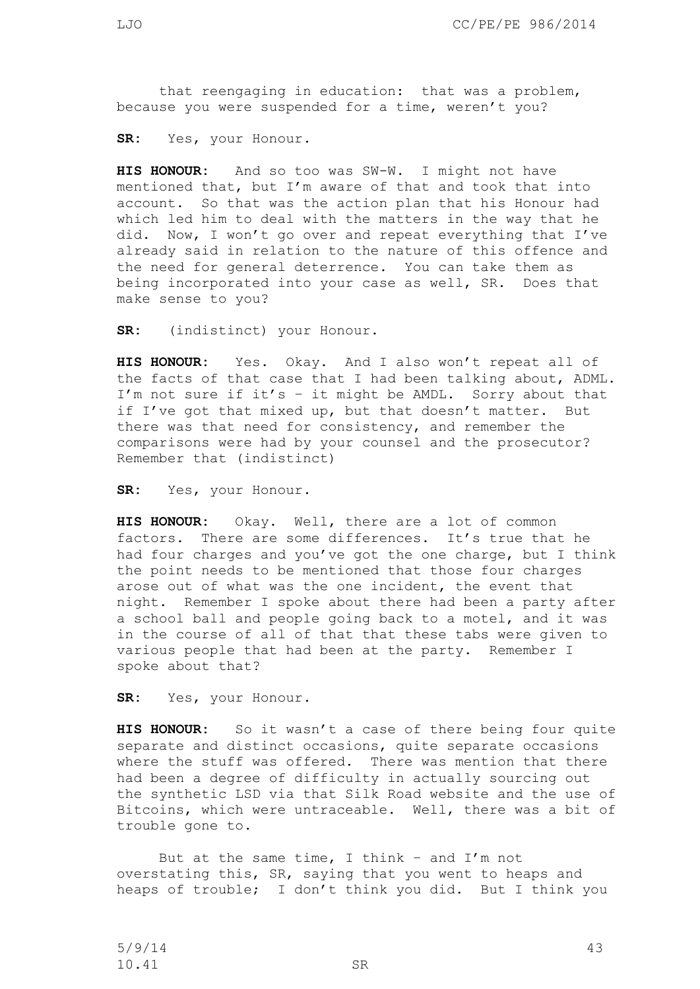that reengaging in education: that was a problem, because you were suspended for a time, weren't you?

**SR:** Yes, your Honour.

**HIS HONOUR:** And so too was SW-W. I might not have mentioned that, but I'm aware of that and took that into account. So that was the action plan that his Honour had which led him to deal with the matters in the way that he did. Now, I won't go over and repeat everything that I've already said in relation to the nature of this offence and the need for general deterrence. You can take them as being incorporated into your case as well, SR. Does that make sense to you?

**SR:** (indistinct) your Honour.

**HIS HONOUR:** Yes. Okay. And I also won't repeat all of the facts of that case that I had been talking about, ADML. I'm not sure if it's – it might be AMDL. Sorry about that if I've got that mixed up, but that doesn't matter. But there was that need for consistency, and remember the comparisons were had by your counsel and the prosecutor? Remember that (indistinct)

**SR:** Yes, your Honour.

**HIS HONOUR:** Okay. Well, there are a lot of common factors. There are some differences. It's true that he had four charges and you've got the one charge, but I think the point needs to be mentioned that those four charges arose out of what was the one incident, the event that night. Remember I spoke about there had been a party after a school ball and people going back to a motel, and it was in the course of all of that that these tabs were given to various people that had been at the party. Remember I spoke about that?

**SR:** Yes, your Honour.

**HIS HONOUR:** So it wasn't a case of there being four quite separate and distinct occasions, quite separate occasions where the stuff was offered. There was mention that there had been a degree of difficulty in actually sourcing out the synthetic LSD via that Silk Road website and the use of Bitcoins, which were untraceable. Well, there was a bit of trouble gone to.

But at the same time, I think – and I'm not overstating this, SR, saying that you went to heaps and heaps of trouble; I don't think you did. But I think you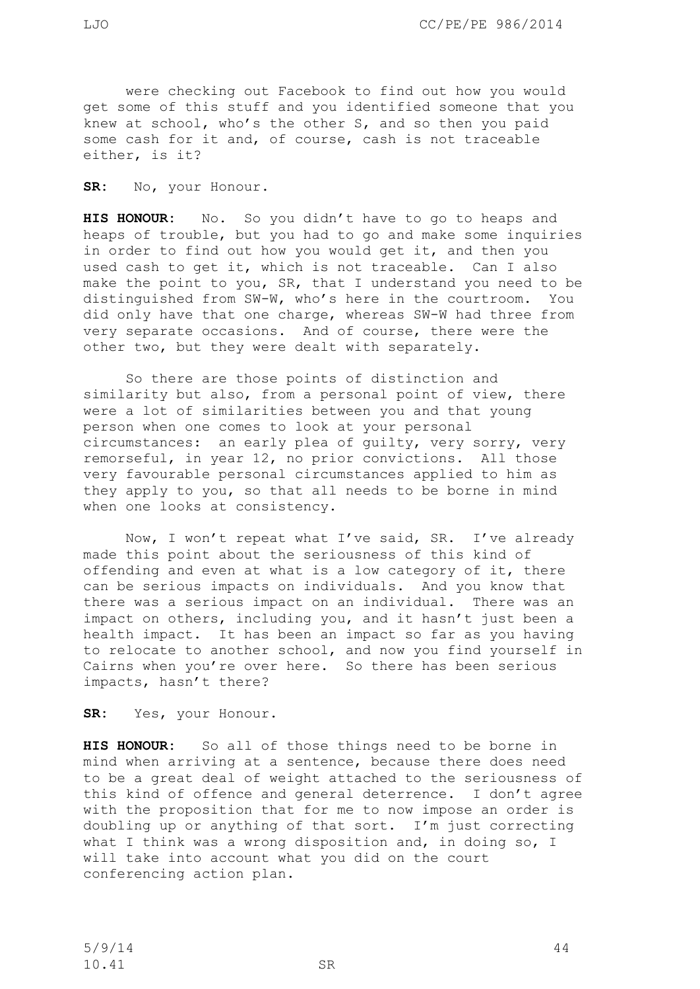were checking out Facebook to find out how you would get some of this stuff and you identified someone that you knew at school, who's the other S, and so then you paid some cash for it and, of course, cash is not traceable either, is it?

**SR:** No, your Honour.

**HIS HONOUR:** No. So you didn't have to go to heaps and heaps of trouble, but you had to go and make some inquiries in order to find out how you would get it, and then you used cash to get it, which is not traceable. Can I also make the point to you, SR, that I understand you need to be distinguished from SW-W, who's here in the courtroom. You did only have that one charge, whereas SW-W had three from very separate occasions. And of course, there were the other two, but they were dealt with separately.

So there are those points of distinction and similarity but also, from a personal point of view, there were a lot of similarities between you and that young person when one comes to look at your personal circumstances: an early plea of guilty, very sorry, very remorseful, in year 12, no prior convictions. All those very favourable personal circumstances applied to him as they apply to you, so that all needs to be borne in mind when one looks at consistency.

Now, I won't repeat what I've said, SR. I've already made this point about the seriousness of this kind of offending and even at what is a low category of it, there can be serious impacts on individuals. And you know that there was a serious impact on an individual. There was an impact on others, including you, and it hasn't just been a health impact. It has been an impact so far as you having to relocate to another school, and now you find yourself in Cairns when you're over here. So there has been serious impacts, hasn't there?

**SR:** Yes, your Honour.

**HIS HONOUR:** So all of those things need to be borne in mind when arriving at a sentence, because there does need to be a great deal of weight attached to the seriousness of this kind of offence and general deterrence. I don't agree with the proposition that for me to now impose an order is doubling up or anything of that sort. I'm just correcting what I think was a wrong disposition and, in doing so, I will take into account what you did on the court conferencing action plan.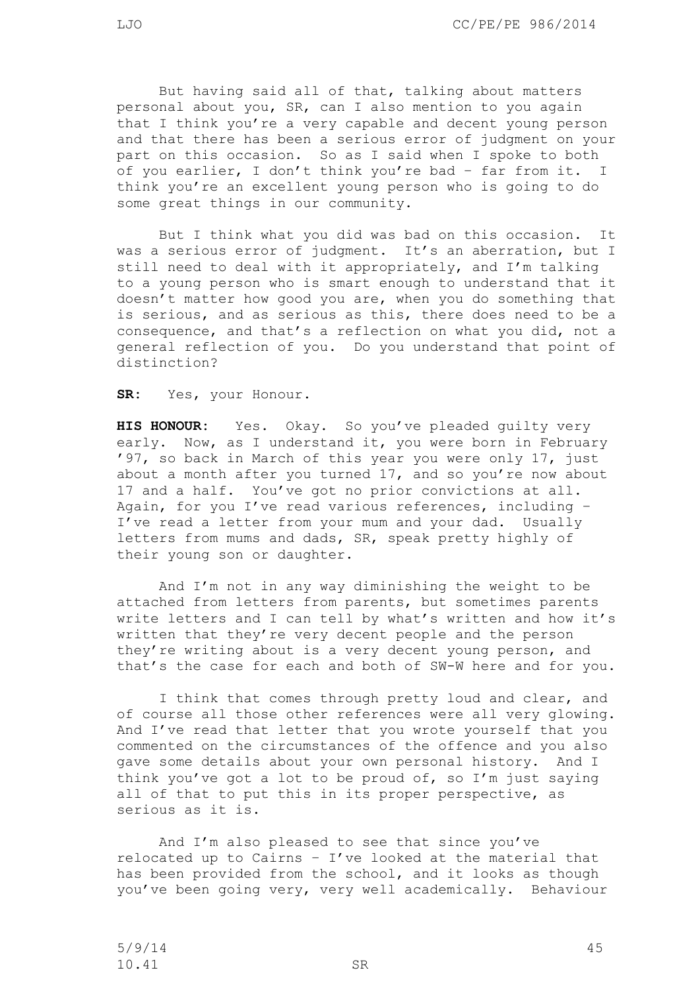But having said all of that, talking about matters personal about you, SR, can I also mention to you again that I think you're a very capable and decent young person and that there has been a serious error of judgment on your part on this occasion. So as I said when I spoke to both of you earlier, I don't think you're bad – far from it. I think you're an excellent young person who is going to do some great things in our community.

But I think what you did was bad on this occasion. It was a serious error of judgment. It's an aberration, but I still need to deal with it appropriately, and I'm talking to a young person who is smart enough to understand that it doesn't matter how good you are, when you do something that is serious, and as serious as this, there does need to be a consequence, and that's a reflection on what you did, not a general reflection of you. Do you understand that point of distinction?

**SR:** Yes, your Honour.

**HIS HONOUR:** Yes. Okay. So you've pleaded guilty very early. Now, as I understand it, you were born in February '97, so back in March of this year you were only 17, just about a month after you turned 17, and so you're now about 17 and a half. You've got no prior convictions at all. Again, for you I've read various references, including – I've read a letter from your mum and your dad. Usually letters from mums and dads, SR, speak pretty highly of their young son or daughter.

And I'm not in any way diminishing the weight to be attached from letters from parents, but sometimes parents write letters and I can tell by what's written and how it's written that they're very decent people and the person they're writing about is a very decent young person, and that's the case for each and both of SW-W here and for you.

I think that comes through pretty loud and clear, and of course all those other references were all very glowing. And I've read that letter that you wrote yourself that you commented on the circumstances of the offence and you also gave some details about your own personal history. And I think you've got a lot to be proud of, so I'm just saying all of that to put this in its proper perspective, as serious as it is.

And I'm also pleased to see that since you've relocated up to Cairns – I've looked at the material that has been provided from the school, and it looks as though you've been going very, very well academically. Behaviour

5/9/14 45 10.41 SR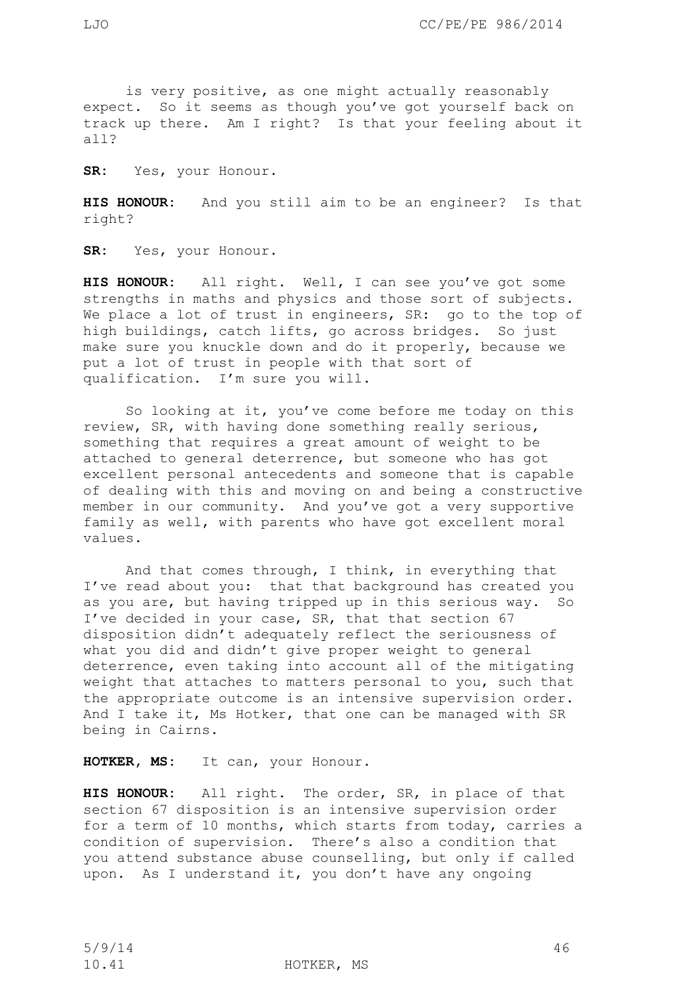is very positive, as one might actually reasonably expect. So it seems as though you've got yourself back on track up there. Am I right? Is that your feeling about it all?

**SR:** Yes, your Honour.

**HIS HONOUR:** And you still aim to be an engineer? Is that right?

**SR:** Yes, your Honour.

**HIS HONOUR:** All right. Well, I can see you've got some strengths in maths and physics and those sort of subjects. We place a lot of trust in engineers, SR: go to the top of high buildings, catch lifts, go across bridges. So just make sure you knuckle down and do it properly, because we put a lot of trust in people with that sort of qualification. I'm sure you will.

So looking at it, you've come before me today on this review, SR, with having done something really serious, something that requires a great amount of weight to be attached to general deterrence, but someone who has got excellent personal antecedents and someone that is capable of dealing with this and moving on and being a constructive member in our community. And you've got a very supportive family as well, with parents who have got excellent moral values.

And that comes through, I think, in everything that I've read about you: that that background has created you as you are, but having tripped up in this serious way. So I've decided in your case, SR, that that section 67 disposition didn't adequately reflect the seriousness of what you did and didn't give proper weight to general deterrence, even taking into account all of the mitigating weight that attaches to matters personal to you, such that the appropriate outcome is an intensive supervision order. And I take it, Ms Hotker, that one can be managed with SR being in Cairns.

**HOTKER, MS:** It can, your Honour.

**HIS HONOUR:** All right. The order, SR, in place of that section 67 disposition is an intensive supervision order for a term of 10 months, which starts from today, carries a condition of supervision. There's also a condition that you attend substance abuse counselling, but only if called upon. As I understand it, you don't have any ongoing

10.41 HOTKER, MS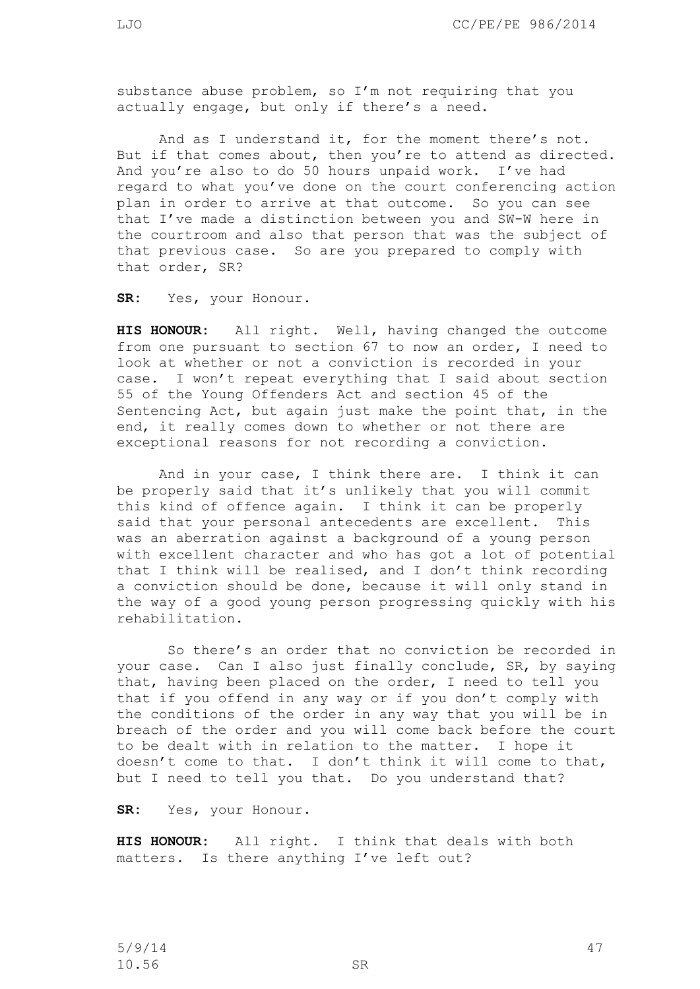substance abuse problem, so I'm not requiring that you actually engage, but only if there's a need.

And as I understand it, for the moment there's not. But if that comes about, then you're to attend as directed. And you're also to do 50 hours unpaid work. I've had regard to what you've done on the court conferencing action plan in order to arrive at that outcome. So you can see that I've made a distinction between you and SW-W here in the courtroom and also that person that was the subject of that previous case. So are you prepared to comply with that order, SR?

**SR:** Yes, your Honour.

**HIS HONOUR:** All right. Well, having changed the outcome from one pursuant to section 67 to now an order, I need to look at whether or not a conviction is recorded in your case. I won't repeat everything that I said about section 55 of the Young Offenders Act and section 45 of the Sentencing Act, but again just make the point that, in the end, it really comes down to whether or not there are exceptional reasons for not recording a conviction.

And in your case, I think there are. I think it can be properly said that it's unlikely that you will commit this kind of offence again. I think it can be properly said that your personal antecedents are excellent. This was an aberration against a background of a young person with excellent character and who has got a lot of potential that I think will be realised, and I don't think recording a conviction should be done, because it will only stand in the way of a good young person progressing quickly with his rehabilitation.

So there's an order that no conviction be recorded in your case. Can I also just finally conclude, SR, by saying that, having been placed on the order, I need to tell you that if you offend in any way or if you don't comply with the conditions of the order in any way that you will be in breach of the order and you will come back before the court to be dealt with in relation to the matter. I hope it doesn't come to that. I don't think it will come to that, but I need to tell you that. Do you understand that?

**SR:** Yes, your Honour.

**HIS HONOUR:** All right. I think that deals with both matters. Is there anything I've left out?

 $5/9/14$  47 10.56 SR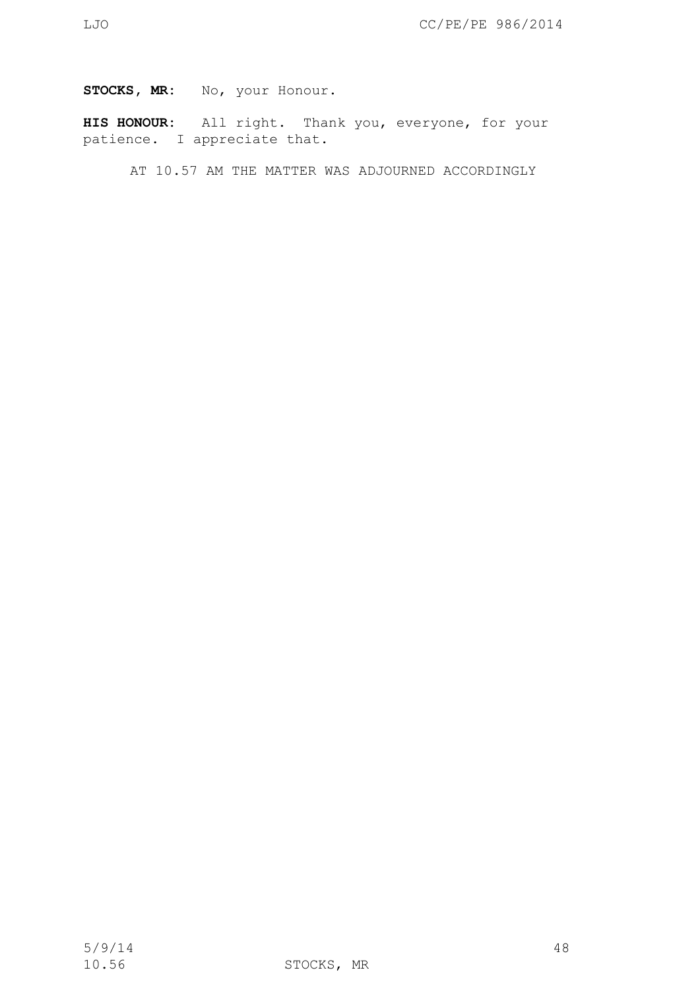## STOCKS, MR: No, your Honour.

**HIS HONOUR:** All right. Thank you, everyone, for your patience. I appreciate that.

AT 10.57 AM THE MATTER WAS ADJOURNED ACCORDINGLY